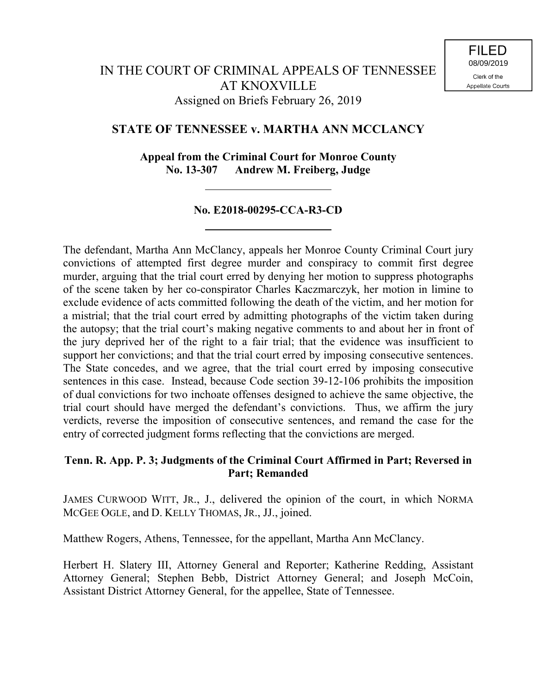# **STATE OF TENNESSEE v. MARTHA ANN MCCLANCY**

**Appeal from the Criminal Court for Monroe County No. 13-307 Andrew M. Freiberg, Judge**

# **No. E2018-00295-CCA-R3-CD**

The defendant, Martha Ann McClancy, appeals her Monroe County Criminal Court jury convictions of attempted first degree murder and conspiracy to commit first degree murder, arguing that the trial court erred by denying her motion to suppress photographs of the scene taken by her co-conspirator Charles Kaczmarczyk, her motion in limine to exclude evidence of acts committed following the death of the victim, and her motion for a mistrial; that the trial court erred by admitting photographs of the victim taken during the autopsy; that the trial court's making negative comments to and about her in front of the jury deprived her of the right to a fair trial; that the evidence was insufficient to support her convictions; and that the trial court erred by imposing consecutive sentences. The State concedes, and we agree, that the trial court erred by imposing consecutive sentences in this case. Instead, because Code section 39-12-106 prohibits the imposition of dual convictions for two inchoate offenses designed to achieve the same objective, the trial court should have merged the defendant's convictions. Thus, we affirm the jury verdicts, reverse the imposition of consecutive sentences, and remand the case for the entry of corrected judgment forms reflecting that the convictions are merged.

## **Tenn. R. App. P. 3; Judgments of the Criminal Court Affirmed in Part; Reversed in Part; Remanded**

JAMES CURWOOD WITT, JR., J., delivered the opinion of the court, in which NORMA MCGEE OGLE, and D. KELLY THOMAS, JR., JJ., joined.

Matthew Rogers, Athens, Tennessee, for the appellant, Martha Ann McClancy.

Herbert H. Slatery III, Attorney General and Reporter; Katherine Redding, Assistant Attorney General; Stephen Bebb, District Attorney General; and Joseph McCoin, Assistant District Attorney General, for the appellee, State of Tennessee.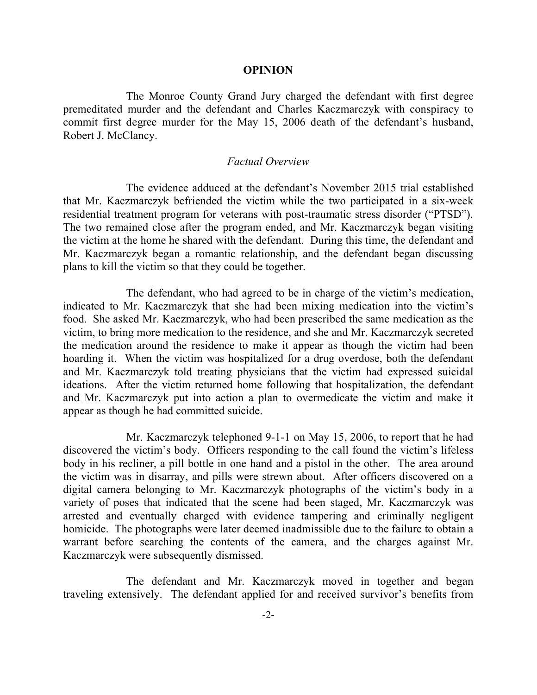#### **OPINION**

The Monroe County Grand Jury charged the defendant with first degree premeditated murder and the defendant and Charles Kaczmarczyk with conspiracy to commit first degree murder for the May 15, 2006 death of the defendant's husband, Robert J. McClancy.

### *Factual Overview*

The evidence adduced at the defendant's November 2015 trial established that Mr. Kaczmarczyk befriended the victim while the two participated in a six-week residential treatment program for veterans with post-traumatic stress disorder ("PTSD"). The two remained close after the program ended, and Mr. Kaczmarczyk began visiting the victim at the home he shared with the defendant. During this time, the defendant and Mr. Kaczmarczyk began a romantic relationship, and the defendant began discussing plans to kill the victim so that they could be together.

The defendant, who had agreed to be in charge of the victim's medication, indicated to Mr. Kaczmarczyk that she had been mixing medication into the victim's food. She asked Mr. Kaczmarczyk, who had been prescribed the same medication as the victim, to bring more medication to the residence, and she and Mr. Kaczmarczyk secreted the medication around the residence to make it appear as though the victim had been hoarding it. When the victim was hospitalized for a drug overdose, both the defendant and Mr. Kaczmarczyk told treating physicians that the victim had expressed suicidal ideations. After the victim returned home following that hospitalization, the defendant and Mr. Kaczmarczyk put into action a plan to overmedicate the victim and make it appear as though he had committed suicide.

Mr. Kaczmarczyk telephoned 9-1-1 on May 15, 2006, to report that he had discovered the victim's body. Officers responding to the call found the victim's lifeless body in his recliner, a pill bottle in one hand and a pistol in the other. The area around the victim was in disarray, and pills were strewn about. After officers discovered on a digital camera belonging to Mr. Kaczmarczyk photographs of the victim's body in a variety of poses that indicated that the scene had been staged, Mr. Kaczmarczyk was arrested and eventually charged with evidence tampering and criminally negligent homicide. The photographs were later deemed inadmissible due to the failure to obtain a warrant before searching the contents of the camera, and the charges against Mr. Kaczmarczyk were subsequently dismissed.

The defendant and Mr. Kaczmarczyk moved in together and began traveling extensively. The defendant applied for and received survivor's benefits from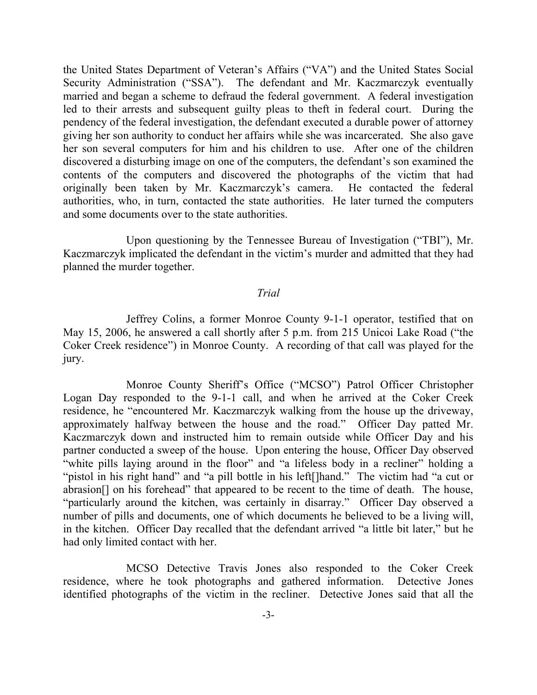the United States Department of Veteran's Affairs ("VA") and the United States Social Security Administration ("SSA"). The defendant and Mr. Kaczmarczyk eventually married and began a scheme to defraud the federal government. A federal investigation led to their arrests and subsequent guilty pleas to theft in federal court. During the pendency of the federal investigation, the defendant executed a durable power of attorney giving her son authority to conduct her affairs while she was incarcerated. She also gave her son several computers for him and his children to use. After one of the children discovered a disturbing image on one of the computers, the defendant's son examined the contents of the computers and discovered the photographs of the victim that had originally been taken by Mr. Kaczmarczyk's camera. He contacted the federal authorities, who, in turn, contacted the state authorities. He later turned the computers and some documents over to the state authorities.

Upon questioning by the Tennessee Bureau of Investigation ("TBI"), Mr. Kaczmarczyk implicated the defendant in the victim's murder and admitted that they had planned the murder together.

#### *Trial*

Jeffrey Colins, a former Monroe County 9-1-1 operator, testified that on May 15, 2006, he answered a call shortly after 5 p.m. from 215 Unicoi Lake Road ("the Coker Creek residence") in Monroe County. A recording of that call was played for the jury.

Monroe County Sheriff's Office ("MCSO") Patrol Officer Christopher Logan Day responded to the 9-1-1 call, and when he arrived at the Coker Creek residence, he "encountered Mr. Kaczmarczyk walking from the house up the driveway, approximately halfway between the house and the road." Officer Day patted Mr. Kaczmarczyk down and instructed him to remain outside while Officer Day and his partner conducted a sweep of the house. Upon entering the house, Officer Day observed "white pills laying around in the floor" and "a lifeless body in a recliner" holding a "pistol in his right hand" and "a pill bottle in his left[]hand." The victim had "a cut or abrasion[] on his forehead" that appeared to be recent to the time of death. The house, "particularly around the kitchen, was certainly in disarray." Officer Day observed a number of pills and documents, one of which documents he believed to be a living will, in the kitchen. Officer Day recalled that the defendant arrived "a little bit later," but he had only limited contact with her.

MCSO Detective Travis Jones also responded to the Coker Creek residence, where he took photographs and gathered information. Detective Jones identified photographs of the victim in the recliner. Detective Jones said that all the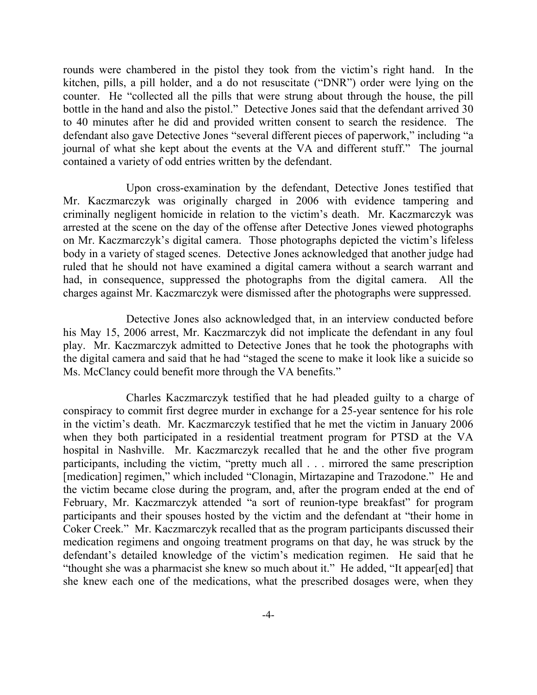rounds were chambered in the pistol they took from the victim's right hand. In the kitchen, pills, a pill holder, and a do not resuscitate ("DNR") order were lying on the counter. He "collected all the pills that were strung about through the house, the pill bottle in the hand and also the pistol." Detective Jones said that the defendant arrived 30 to 40 minutes after he did and provided written consent to search the residence. The defendant also gave Detective Jones "several different pieces of paperwork," including "a journal of what she kept about the events at the VA and different stuff." The journal contained a variety of odd entries written by the defendant.

Upon cross-examination by the defendant, Detective Jones testified that Mr. Kaczmarczyk was originally charged in 2006 with evidence tampering and criminally negligent homicide in relation to the victim's death. Mr. Kaczmarczyk was arrested at the scene on the day of the offense after Detective Jones viewed photographs on Mr. Kaczmarczyk's digital camera. Those photographs depicted the victim's lifeless body in a variety of staged scenes. Detective Jones acknowledged that another judge had ruled that he should not have examined a digital camera without a search warrant and had, in consequence, suppressed the photographs from the digital camera. All the charges against Mr. Kaczmarczyk were dismissed after the photographs were suppressed.

Detective Jones also acknowledged that, in an interview conducted before his May 15, 2006 arrest, Mr. Kaczmarczyk did not implicate the defendant in any foul play. Mr. Kaczmarczyk admitted to Detective Jones that he took the photographs with the digital camera and said that he had "staged the scene to make it look like a suicide so Ms. McClancy could benefit more through the VA benefits."

Charles Kaczmarczyk testified that he had pleaded guilty to a charge of conspiracy to commit first degree murder in exchange for a 25-year sentence for his role in the victim's death. Mr. Kaczmarczyk testified that he met the victim in January 2006 when they both participated in a residential treatment program for PTSD at the VA hospital in Nashville. Mr. Kaczmarczyk recalled that he and the other five program participants, including the victim, "pretty much all . . . mirrored the same prescription [medication] regimen," which included "Clonagin, Mirtazapine and Trazodone." He and the victim became close during the program, and, after the program ended at the end of February, Mr. Kaczmarczyk attended "a sort of reunion-type breakfast" for program participants and their spouses hosted by the victim and the defendant at "their home in Coker Creek." Mr. Kaczmarczyk recalled that as the program participants discussed their medication regimens and ongoing treatment programs on that day, he was struck by the defendant's detailed knowledge of the victim's medication regimen. He said that he "thought she was a pharmacist she knew so much about it." He added, "It appear[ed] that she knew each one of the medications, what the prescribed dosages were, when they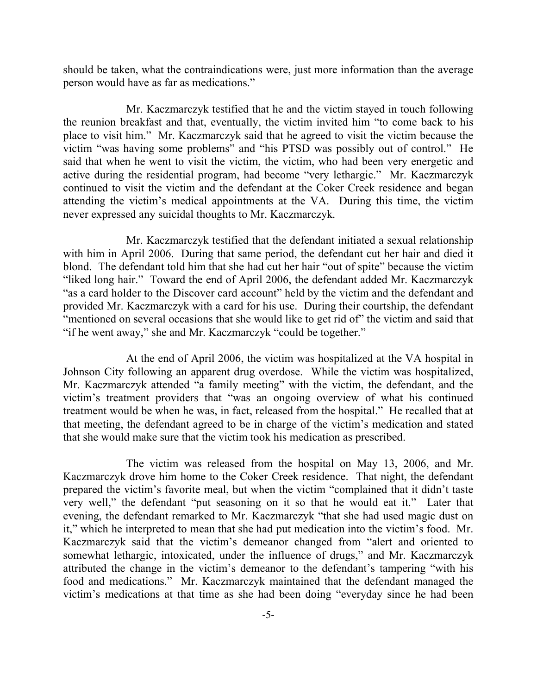should be taken, what the contraindications were, just more information than the average person would have as far as medications."

Mr. Kaczmarczyk testified that he and the victim stayed in touch following the reunion breakfast and that, eventually, the victim invited him "to come back to his place to visit him." Mr. Kaczmarczyk said that he agreed to visit the victim because the victim "was having some problems" and "his PTSD was possibly out of control." He said that when he went to visit the victim, the victim, who had been very energetic and active during the residential program, had become "very lethargic." Mr. Kaczmarczyk continued to visit the victim and the defendant at the Coker Creek residence and began attending the victim's medical appointments at the VA. During this time, the victim never expressed any suicidal thoughts to Mr. Kaczmarczyk.

Mr. Kaczmarczyk testified that the defendant initiated a sexual relationship with him in April 2006. During that same period, the defendant cut her hair and died it blond. The defendant told him that she had cut her hair "out of spite" because the victim "liked long hair." Toward the end of April 2006, the defendant added Mr. Kaczmarczyk "as a card holder to the Discover card account" held by the victim and the defendant and provided Mr. Kaczmarczyk with a card for his use. During their courtship, the defendant "mentioned on several occasions that she would like to get rid of" the victim and said that "if he went away," she and Mr. Kaczmarczyk "could be together."

At the end of April 2006, the victim was hospitalized at the VA hospital in Johnson City following an apparent drug overdose. While the victim was hospitalized, Mr. Kaczmarczyk attended "a family meeting" with the victim, the defendant, and the victim's treatment providers that "was an ongoing overview of what his continued treatment would be when he was, in fact, released from the hospital." He recalled that at that meeting, the defendant agreed to be in charge of the victim's medication and stated that she would make sure that the victim took his medication as prescribed.

The victim was released from the hospital on May 13, 2006, and Mr. Kaczmarczyk drove him home to the Coker Creek residence. That night, the defendant prepared the victim's favorite meal, but when the victim "complained that it didn't taste very well," the defendant "put seasoning on it so that he would eat it." Later that evening, the defendant remarked to Mr. Kaczmarczyk "that she had used magic dust on it," which he interpreted to mean that she had put medication into the victim's food. Mr. Kaczmarczyk said that the victim's demeanor changed from "alert and oriented to somewhat lethargic, intoxicated, under the influence of drugs," and Mr. Kaczmarczyk attributed the change in the victim's demeanor to the defendant's tampering "with his food and medications." Mr. Kaczmarczyk maintained that the defendant managed the victim's medications at that time as she had been doing "everyday since he had been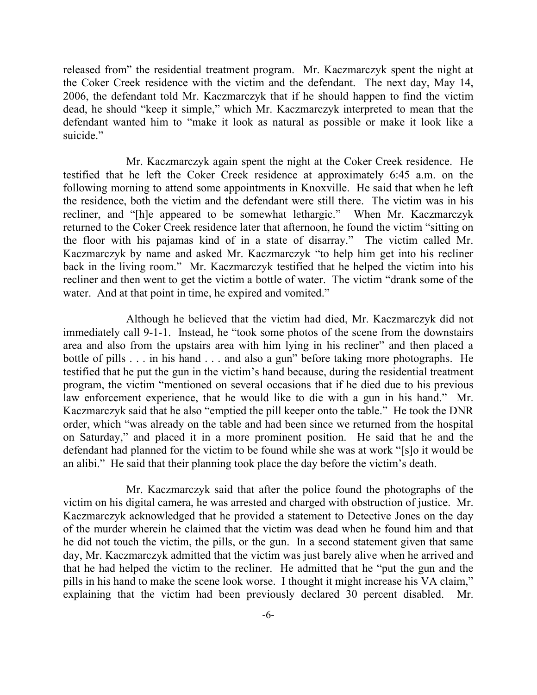released from" the residential treatment program. Mr. Kaczmarczyk spent the night at the Coker Creek residence with the victim and the defendant. The next day, May 14, 2006, the defendant told Mr. Kaczmarczyk that if he should happen to find the victim dead, he should "keep it simple," which Mr. Kaczmarczyk interpreted to mean that the defendant wanted him to "make it look as natural as possible or make it look like a suicide."

Mr. Kaczmarczyk again spent the night at the Coker Creek residence. He testified that he left the Coker Creek residence at approximately 6:45 a.m. on the following morning to attend some appointments in Knoxville. He said that when he left the residence, both the victim and the defendant were still there. The victim was in his recliner, and "[h]e appeared to be somewhat lethargic." When Mr. Kaczmarczyk returned to the Coker Creek residence later that afternoon, he found the victim "sitting on the floor with his pajamas kind of in a state of disarray." The victim called Mr. Kaczmarczyk by name and asked Mr. Kaczmarczyk "to help him get into his recliner back in the living room." Mr. Kaczmarczyk testified that he helped the victim into his recliner and then went to get the victim a bottle of water. The victim "drank some of the water. And at that point in time, he expired and vomited."

Although he believed that the victim had died, Mr. Kaczmarczyk did not immediately call 9-1-1. Instead, he "took some photos of the scene from the downstairs area and also from the upstairs area with him lying in his recliner" and then placed a bottle of pills . . . in his hand . . . and also a gun" before taking more photographs. He testified that he put the gun in the victim's hand because, during the residential treatment program, the victim "mentioned on several occasions that if he died due to his previous law enforcement experience, that he would like to die with a gun in his hand." Mr. Kaczmarczyk said that he also "emptied the pill keeper onto the table." He took the DNR order, which "was already on the table and had been since we returned from the hospital on Saturday," and placed it in a more prominent position. He said that he and the defendant had planned for the victim to be found while she was at work "[s]o it would be an alibi." He said that their planning took place the day before the victim's death.

Mr. Kaczmarczyk said that after the police found the photographs of the victim on his digital camera, he was arrested and charged with obstruction of justice. Mr. Kaczmarczyk acknowledged that he provided a statement to Detective Jones on the day of the murder wherein he claimed that the victim was dead when he found him and that he did not touch the victim, the pills, or the gun. In a second statement given that same day, Mr. Kaczmarczyk admitted that the victim was just barely alive when he arrived and that he had helped the victim to the recliner. He admitted that he "put the gun and the pills in his hand to make the scene look worse. I thought it might increase his VA claim," explaining that the victim had been previously declared 30 percent disabled. Mr.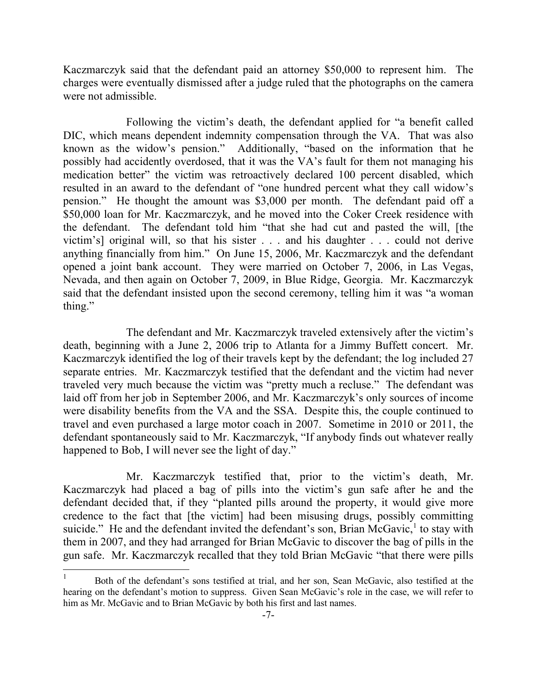Kaczmarczyk said that the defendant paid an attorney \$50,000 to represent him. The charges were eventually dismissed after a judge ruled that the photographs on the camera were not admissible.

Following the victim's death, the defendant applied for "a benefit called DIC, which means dependent indemnity compensation through the VA. That was also known as the widow's pension." Additionally, "based on the information that he possibly had accidently overdosed, that it was the VA's fault for them not managing his medication better" the victim was retroactively declared 100 percent disabled, which resulted in an award to the defendant of "one hundred percent what they call widow's pension." He thought the amount was \$3,000 per month. The defendant paid off a \$50,000 loan for Mr. Kaczmarczyk, and he moved into the Coker Creek residence with the defendant. The defendant told him "that she had cut and pasted the will, [the victim's] original will, so that his sister . . . and his daughter . . . could not derive anything financially from him." On June 15, 2006, Mr. Kaczmarczyk and the defendant opened a joint bank account. They were married on October 7, 2006, in Las Vegas, Nevada, and then again on October 7, 2009, in Blue Ridge, Georgia. Mr. Kaczmarczyk said that the defendant insisted upon the second ceremony, telling him it was "a woman thing."

The defendant and Mr. Kaczmarczyk traveled extensively after the victim's death, beginning with a June 2, 2006 trip to Atlanta for a Jimmy Buffett concert. Mr. Kaczmarczyk identified the log of their travels kept by the defendant; the log included 27 separate entries. Mr. Kaczmarczyk testified that the defendant and the victim had never traveled very much because the victim was "pretty much a recluse." The defendant was laid off from her job in September 2006, and Mr. Kaczmarczyk's only sources of income were disability benefits from the VA and the SSA. Despite this, the couple continued to travel and even purchased a large motor coach in 2007. Sometime in 2010 or 2011, the defendant spontaneously said to Mr. Kaczmarczyk, "If anybody finds out whatever really happened to Bob, I will never see the light of day."

Mr. Kaczmarczyk testified that, prior to the victim's death, Mr. Kaczmarczyk had placed a bag of pills into the victim's gun safe after he and the defendant decided that, if they "planted pills around the property, it would give more credence to the fact that [the victim] had been misusing drugs, possibly committing suicide." He and the defendant invited the defendant's son, Brian McGavic, $<sup>1</sup>$  to stay with</sup> them in 2007, and they had arranged for Brian McGavic to discover the bag of pills in the gun safe. Mr. Kaczmarczyk recalled that they told Brian McGavic "that there were pills

 $\overline{\phantom{a}}$ 

<sup>1</sup> Both of the defendant's sons testified at trial, and her son, Sean McGavic, also testified at the hearing on the defendant's motion to suppress. Given Sean McGavic's role in the case, we will refer to him as Mr. McGavic and to Brian McGavic by both his first and last names.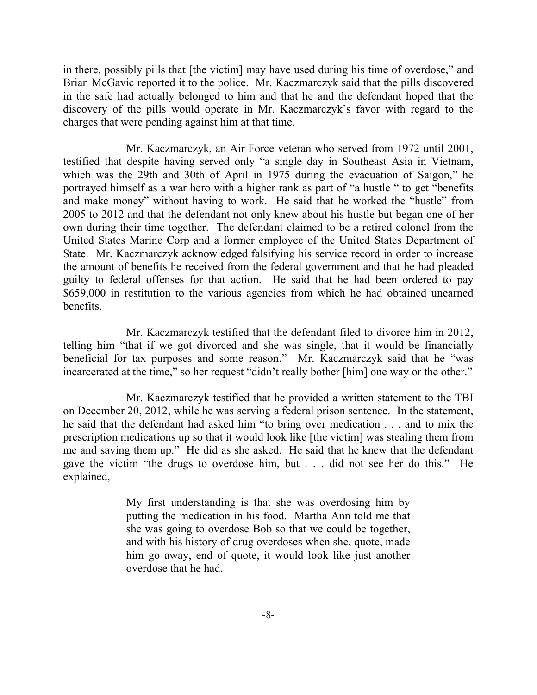in there, possibly pills that [the victim] may have used during his time of overdose," and Brian McGavic reported it to the police. Mr. Kaczmarczyk said that the pills discovered in the safe had actually belonged to him and that he and the defendant hoped that the discovery of the pills would operate in Mr. Kaczmarczyk's favor with regard to the charges that were pending against him at that time.

Mr. Kaczmarczyk, an Air Force veteran who served from 1972 until 2001, testified that despite having served only "a single day in Southeast Asia in Vietnam, which was the 29th and 30th of April in 1975 during the evacuation of Saigon," he portrayed himself as a war hero with a higher rank as part of "a hustle " to get "benefits and make money" without having to work. He said that he worked the "hustle" from 2005 to 2012 and that the defendant not only knew about his hustle but began one of her own during their time together. The defendant claimed to be a retired colonel from the United States Marine Corp and a former employee of the United States Department of State. Mr. Kaczmarczyk acknowledged falsifying his service record in order to increase the amount of benefits he received from the federal government and that he had pleaded guilty to federal offenses for that action. He said that he had been ordered to pay \$659,000 in restitution to the various agencies from which he had obtained unearned benefits.

Mr. Kaczmarczyk testified that the defendant filed to divorce him in 2012, telling him "that if we got divorced and she was single, that it would be financially beneficial for tax purposes and some reason." Mr. Kaczmarczyk said that he "was incarcerated at the time," so her request "didn't really bother [him] one way or the other."

Mr. Kaczmarczyk testified that he provided a written statement to the TBI on December 20, 2012, while he was serving a federal prison sentence. In the statement, he said that the defendant had asked him "to bring over medication . . . and to mix the prescription medications up so that it would look like [the victim] was stealing them from me and saving them up." He did as she asked. He said that he knew that the defendant gave the victim "the drugs to overdose him, but . . . did not see her do this." He explained,

> My first understanding is that she was overdosing him by putting the medication in his food. Martha Ann told me that she was going to overdose Bob so that we could be together, and with his history of drug overdoses when she, quote, made him go away, end of quote, it would look like just another overdose that he had.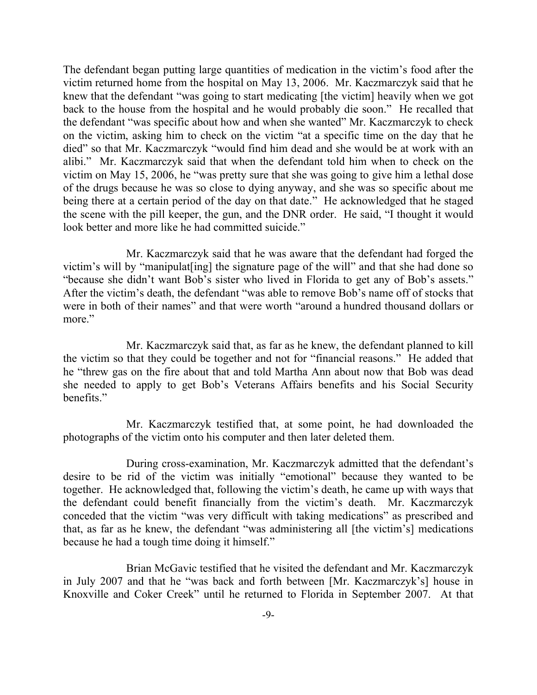The defendant began putting large quantities of medication in the victim's food after the victim returned home from the hospital on May 13, 2006. Mr. Kaczmarczyk said that he knew that the defendant "was going to start medicating [the victim] heavily when we got back to the house from the hospital and he would probably die soon." He recalled that the defendant "was specific about how and when she wanted" Mr. Kaczmarczyk to check on the victim, asking him to check on the victim "at a specific time on the day that he died" so that Mr. Kaczmarczyk "would find him dead and she would be at work with an alibi." Mr. Kaczmarczyk said that when the defendant told him when to check on the victim on May 15, 2006, he "was pretty sure that she was going to give him a lethal dose of the drugs because he was so close to dying anyway, and she was so specific about me being there at a certain period of the day on that date." He acknowledged that he staged the scene with the pill keeper, the gun, and the DNR order. He said, "I thought it would look better and more like he had committed suicide."

Mr. Kaczmarczyk said that he was aware that the defendant had forged the victim's will by "manipulat[ing] the signature page of the will" and that she had done so "because she didn't want Bob's sister who lived in Florida to get any of Bob's assets." After the victim's death, the defendant "was able to remove Bob's name off of stocks that were in both of their names" and that were worth "around a hundred thousand dollars or more."

Mr. Kaczmarczyk said that, as far as he knew, the defendant planned to kill the victim so that they could be together and not for "financial reasons." He added that he "threw gas on the fire about that and told Martha Ann about now that Bob was dead she needed to apply to get Bob's Veterans Affairs benefits and his Social Security benefits."

Mr. Kaczmarczyk testified that, at some point, he had downloaded the photographs of the victim onto his computer and then later deleted them.

During cross-examination, Mr. Kaczmarczyk admitted that the defendant's desire to be rid of the victim was initially "emotional" because they wanted to be together. He acknowledged that, following the victim's death, he came up with ways that the defendant could benefit financially from the victim's death. Mr. Kaczmarczyk conceded that the victim "was very difficult with taking medications" as prescribed and that, as far as he knew, the defendant "was administering all [the victim's] medications because he had a tough time doing it himself."

Brian McGavic testified that he visited the defendant and Mr. Kaczmarczyk in July 2007 and that he "was back and forth between [Mr. Kaczmarczyk's] house in Knoxville and Coker Creek" until he returned to Florida in September 2007. At that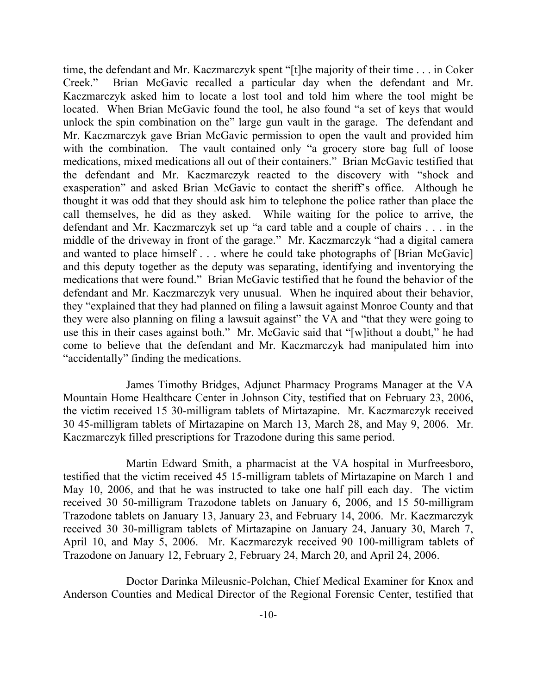time, the defendant and Mr. Kaczmarczyk spent "[t]he majority of their time . . . in Coker Creek." Brian McGavic recalled a particular day when the defendant and Mr. Kaczmarczyk asked him to locate a lost tool and told him where the tool might be located. When Brian McGavic found the tool, he also found "a set of keys that would unlock the spin combination on the" large gun vault in the garage. The defendant and Mr. Kaczmarczyk gave Brian McGavic permission to open the vault and provided him with the combination. The vault contained only "a grocery store bag full of loose medications, mixed medications all out of their containers." Brian McGavic testified that the defendant and Mr. Kaczmarczyk reacted to the discovery with "shock and exasperation" and asked Brian McGavic to contact the sheriff's office. Although he thought it was odd that they should ask him to telephone the police rather than place the call themselves, he did as they asked. While waiting for the police to arrive, the defendant and Mr. Kaczmarczyk set up "a card table and a couple of chairs . . . in the middle of the driveway in front of the garage." Mr. Kaczmarczyk "had a digital camera and wanted to place himself . . . where he could take photographs of [Brian McGavic] and this deputy together as the deputy was separating, identifying and inventorying the medications that were found." Brian McGavic testified that he found the behavior of the defendant and Mr. Kaczmarczyk very unusual. When he inquired about their behavior, they "explained that they had planned on filing a lawsuit against Monroe County and that they were also planning on filing a lawsuit against" the VA and "that they were going to use this in their cases against both." Mr. McGavic said that "[w]ithout a doubt," he had come to believe that the defendant and Mr. Kaczmarczyk had manipulated him into "accidentally" finding the medications.

James Timothy Bridges, Adjunct Pharmacy Programs Manager at the VA Mountain Home Healthcare Center in Johnson City, testified that on February 23, 2006, the victim received 15 30-milligram tablets of Mirtazapine. Mr. Kaczmarczyk received 30 45-milligram tablets of Mirtazapine on March 13, March 28, and May 9, 2006. Mr. Kaczmarczyk filled prescriptions for Trazodone during this same period.

Martin Edward Smith, a pharmacist at the VA hospital in Murfreesboro, testified that the victim received 45 15-milligram tablets of Mirtazapine on March 1 and May 10, 2006, and that he was instructed to take one half pill each day. The victim received 30 50-milligram Trazodone tablets on January 6, 2006, and 15 50-milligram Trazodone tablets on January 13, January 23, and February 14, 2006. Mr. Kaczmarczyk received 30 30-milligram tablets of Mirtazapine on January 24, January 30, March 7, April 10, and May 5, 2006. Mr. Kaczmarczyk received 90 100-milligram tablets of Trazodone on January 12, February 2, February 24, March 20, and April 24, 2006.

Doctor Darinka Mileusnic-Polchan, Chief Medical Examiner for Knox and Anderson Counties and Medical Director of the Regional Forensic Center, testified that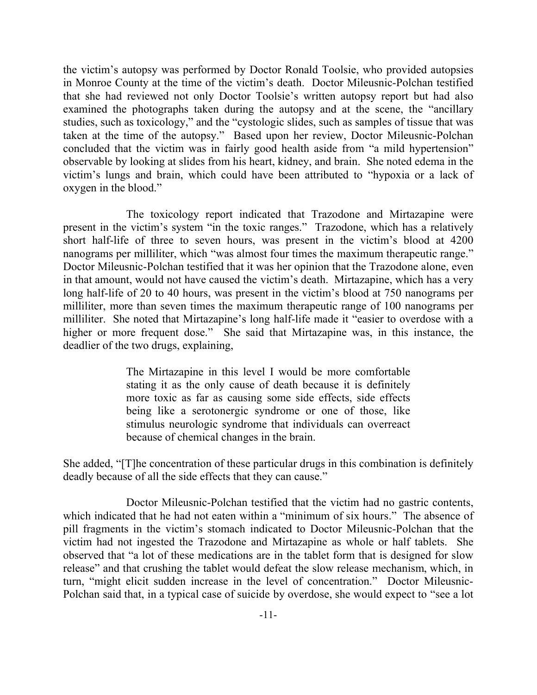the victim's autopsy was performed by Doctor Ronald Toolsie, who provided autopsies in Monroe County at the time of the victim's death. Doctor Mileusnic-Polchan testified that she had reviewed not only Doctor Toolsie's written autopsy report but had also examined the photographs taken during the autopsy and at the scene, the "ancillary studies, such as toxicology," and the "cystologic slides, such as samples of tissue that was taken at the time of the autopsy." Based upon her review, Doctor Mileusnic-Polchan concluded that the victim was in fairly good health aside from "a mild hypertension" observable by looking at slides from his heart, kidney, and brain. She noted edema in the victim's lungs and brain, which could have been attributed to "hypoxia or a lack of oxygen in the blood."

The toxicology report indicated that Trazodone and Mirtazapine were present in the victim's system "in the toxic ranges." Trazodone, which has a relatively short half-life of three to seven hours, was present in the victim's blood at 4200 nanograms per milliliter, which "was almost four times the maximum therapeutic range." Doctor Mileusnic-Polchan testified that it was her opinion that the Trazodone alone, even in that amount, would not have caused the victim's death. Mirtazapine, which has a very long half-life of 20 to 40 hours, was present in the victim's blood at 750 nanograms per milliliter, more than seven times the maximum therapeutic range of 100 nanograms per milliliter. She noted that Mirtazapine's long half-life made it "easier to overdose with a higher or more frequent dose." She said that Mirtazapine was, in this instance, the deadlier of the two drugs, explaining,

> The Mirtazapine in this level I would be more comfortable stating it as the only cause of death because it is definitely more toxic as far as causing some side effects, side effects being like a serotonergic syndrome or one of those, like stimulus neurologic syndrome that individuals can overreact because of chemical changes in the brain.

She added, "[T]he concentration of these particular drugs in this combination is definitely deadly because of all the side effects that they can cause."

Doctor Mileusnic-Polchan testified that the victim had no gastric contents, which indicated that he had not eaten within a "minimum of six hours." The absence of pill fragments in the victim's stomach indicated to Doctor Mileusnic-Polchan that the victim had not ingested the Trazodone and Mirtazapine as whole or half tablets. She observed that "a lot of these medications are in the tablet form that is designed for slow release" and that crushing the tablet would defeat the slow release mechanism, which, in turn, "might elicit sudden increase in the level of concentration." Doctor Mileusnic-Polchan said that, in a typical case of suicide by overdose, she would expect to "see a lot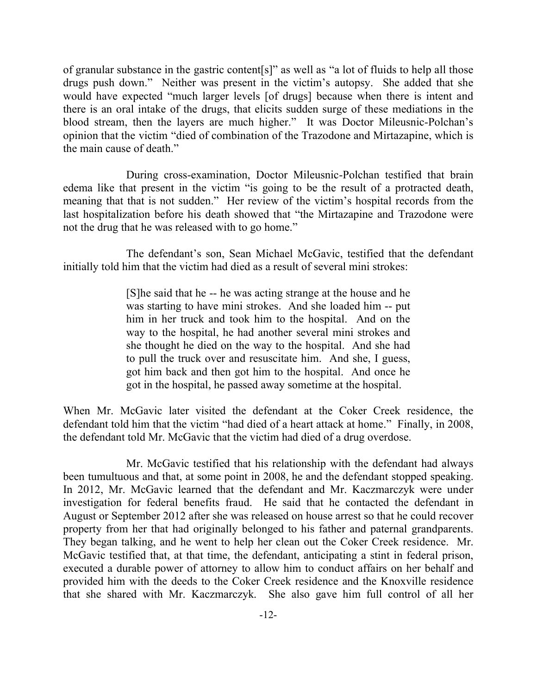of granular substance in the gastric content[s]" as well as "a lot of fluids to help all those drugs push down." Neither was present in the victim's autopsy. She added that she would have expected "much larger levels [of drugs] because when there is intent and there is an oral intake of the drugs, that elicits sudden surge of these mediations in the blood stream, then the layers are much higher." It was Doctor Mileusnic-Polchan's opinion that the victim "died of combination of the Trazodone and Mirtazapine, which is the main cause of death."

During cross-examination, Doctor Mileusnic-Polchan testified that brain edema like that present in the victim "is going to be the result of a protracted death, meaning that that is not sudden." Her review of the victim's hospital records from the last hospitalization before his death showed that "the Mirtazapine and Trazodone were not the drug that he was released with to go home."

The defendant's son, Sean Michael McGavic, testified that the defendant initially told him that the victim had died as a result of several mini strokes:

> [S]he said that he -- he was acting strange at the house and he was starting to have mini strokes. And she loaded him -- put him in her truck and took him to the hospital. And on the way to the hospital, he had another several mini strokes and she thought he died on the way to the hospital. And she had to pull the truck over and resuscitate him. And she, I guess, got him back and then got him to the hospital. And once he got in the hospital, he passed away sometime at the hospital.

When Mr. McGavic later visited the defendant at the Coker Creek residence, the defendant told him that the victim "had died of a heart attack at home." Finally, in 2008, the defendant told Mr. McGavic that the victim had died of a drug overdose.

Mr. McGavic testified that his relationship with the defendant had always been tumultuous and that, at some point in 2008, he and the defendant stopped speaking. In 2012, Mr. McGavic learned that the defendant and Mr. Kaczmarczyk were under investigation for federal benefits fraud. He said that he contacted the defendant in August or September 2012 after she was released on house arrest so that he could recover property from her that had originally belonged to his father and paternal grandparents. They began talking, and he went to help her clean out the Coker Creek residence. Mr. McGavic testified that, at that time, the defendant, anticipating a stint in federal prison, executed a durable power of attorney to allow him to conduct affairs on her behalf and provided him with the deeds to the Coker Creek residence and the Knoxville residence that she shared with Mr. Kaczmarczyk. She also gave him full control of all her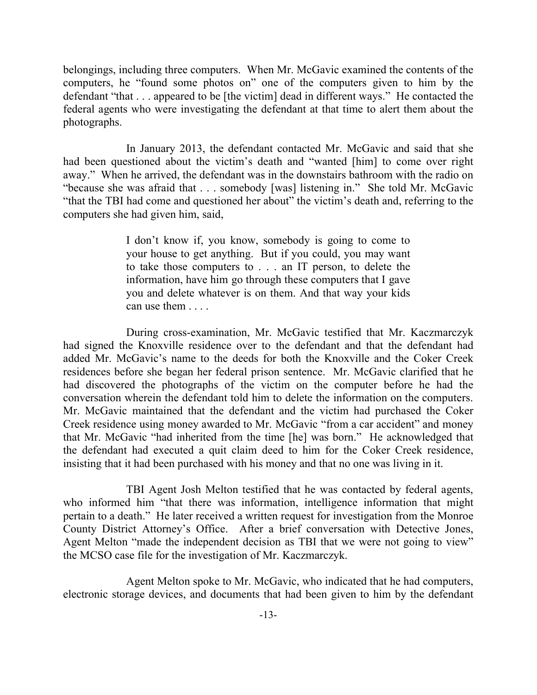belongings, including three computers. When Mr. McGavic examined the contents of the computers, he "found some photos on" one of the computers given to him by the defendant "that . . . appeared to be [the victim] dead in different ways." He contacted the federal agents who were investigating the defendant at that time to alert them about the photographs.

In January 2013, the defendant contacted Mr. McGavic and said that she had been questioned about the victim's death and "wanted [him] to come over right away." When he arrived, the defendant was in the downstairs bathroom with the radio on "because she was afraid that . . . somebody [was] listening in." She told Mr. McGavic "that the TBI had come and questioned her about" the victim's death and, referring to the computers she had given him, said,

> I don't know if, you know, somebody is going to come to your house to get anything. But if you could, you may want to take those computers to . . . an IT person, to delete the information, have him go through these computers that I gave you and delete whatever is on them. And that way your kids can use them . . . .

During cross-examination, Mr. McGavic testified that Mr. Kaczmarczyk had signed the Knoxville residence over to the defendant and that the defendant had added Mr. McGavic's name to the deeds for both the Knoxville and the Coker Creek residences before she began her federal prison sentence. Mr. McGavic clarified that he had discovered the photographs of the victim on the computer before he had the conversation wherein the defendant told him to delete the information on the computers. Mr. McGavic maintained that the defendant and the victim had purchased the Coker Creek residence using money awarded to Mr. McGavic "from a car accident" and money that Mr. McGavic "had inherited from the time [he] was born." He acknowledged that the defendant had executed a quit claim deed to him for the Coker Creek residence, insisting that it had been purchased with his money and that no one was living in it.

TBI Agent Josh Melton testified that he was contacted by federal agents, who informed him "that there was information, intelligence information that might pertain to a death." He later received a written request for investigation from the Monroe County District Attorney's Office. After a brief conversation with Detective Jones, Agent Melton "made the independent decision as TBI that we were not going to view" the MCSO case file for the investigation of Mr. Kaczmarczyk.

Agent Melton spoke to Mr. McGavic, who indicated that he had computers, electronic storage devices, and documents that had been given to him by the defendant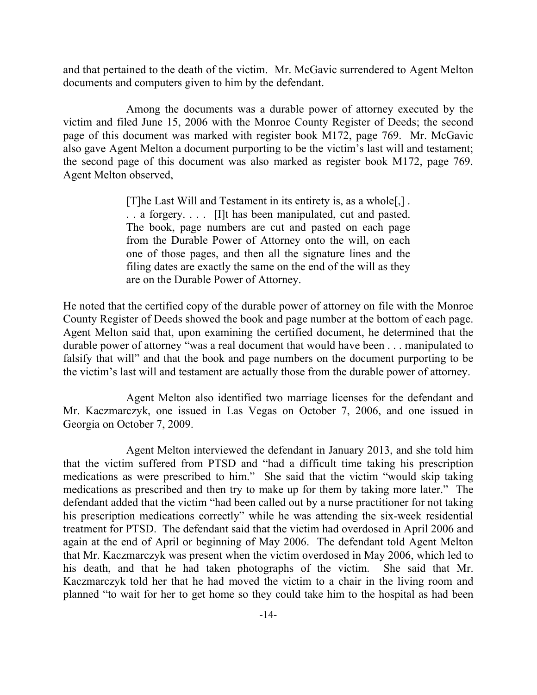and that pertained to the death of the victim. Mr. McGavic surrendered to Agent Melton documents and computers given to him by the defendant.

Among the documents was a durable power of attorney executed by the victim and filed June 15, 2006 with the Monroe County Register of Deeds; the second page of this document was marked with register book M172, page 769. Mr. McGavic also gave Agent Melton a document purporting to be the victim's last will and testament; the second page of this document was also marked as register book M172, page 769. Agent Melton observed,

> [T]he Last Will and Testament in its entirety is, as a whole[,] . . . a forgery. . . . [I]t has been manipulated, cut and pasted. The book, page numbers are cut and pasted on each page from the Durable Power of Attorney onto the will, on each one of those pages, and then all the signature lines and the filing dates are exactly the same on the end of the will as they are on the Durable Power of Attorney.

He noted that the certified copy of the durable power of attorney on file with the Monroe County Register of Deeds showed the book and page number at the bottom of each page. Agent Melton said that, upon examining the certified document, he determined that the durable power of attorney "was a real document that would have been . . . manipulated to falsify that will" and that the book and page numbers on the document purporting to be the victim's last will and testament are actually those from the durable power of attorney.

Agent Melton also identified two marriage licenses for the defendant and Mr. Kaczmarczyk, one issued in Las Vegas on October 7, 2006, and one issued in Georgia on October 7, 2009.

Agent Melton interviewed the defendant in January 2013, and she told him that the victim suffered from PTSD and "had a difficult time taking his prescription medications as were prescribed to him." She said that the victim "would skip taking medications as prescribed and then try to make up for them by taking more later." The defendant added that the victim "had been called out by a nurse practitioner for not taking his prescription medications correctly" while he was attending the six-week residential treatment for PTSD. The defendant said that the victim had overdosed in April 2006 and again at the end of April or beginning of May 2006. The defendant told Agent Melton that Mr. Kaczmarczyk was present when the victim overdosed in May 2006, which led to his death, and that he had taken photographs of the victim. She said that Mr. Kaczmarczyk told her that he had moved the victim to a chair in the living room and planned "to wait for her to get home so they could take him to the hospital as had been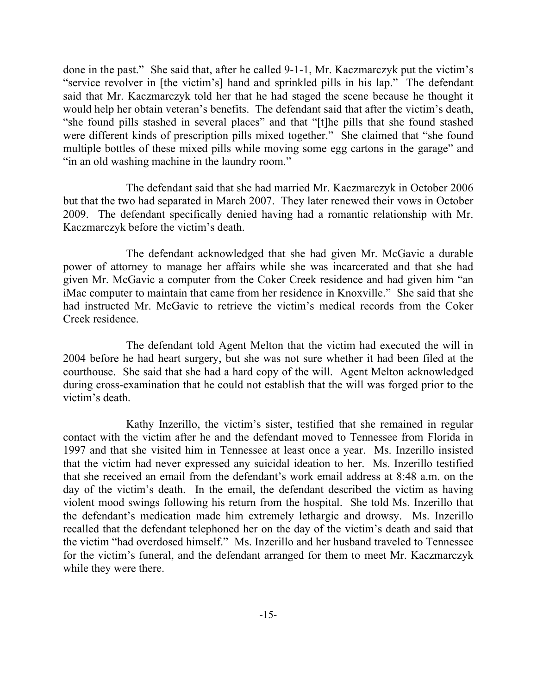done in the past." She said that, after he called 9-1-1, Mr. Kaczmarczyk put the victim's "service revolver in [the victim's] hand and sprinkled pills in his lap." The defendant said that Mr. Kaczmarczyk told her that he had staged the scene because he thought it would help her obtain veteran's benefits. The defendant said that after the victim's death, "she found pills stashed in several places" and that "[t]he pills that she found stashed were different kinds of prescription pills mixed together." She claimed that "she found multiple bottles of these mixed pills while moving some egg cartons in the garage" and "in an old washing machine in the laundry room."

The defendant said that she had married Mr. Kaczmarczyk in October 2006 but that the two had separated in March 2007. They later renewed their vows in October 2009. The defendant specifically denied having had a romantic relationship with Mr. Kaczmarczyk before the victim's death.

The defendant acknowledged that she had given Mr. McGavic a durable power of attorney to manage her affairs while she was incarcerated and that she had given Mr. McGavic a computer from the Coker Creek residence and had given him "an iMac computer to maintain that came from her residence in Knoxville." She said that she had instructed Mr. McGavic to retrieve the victim's medical records from the Coker Creek residence.

The defendant told Agent Melton that the victim had executed the will in 2004 before he had heart surgery, but she was not sure whether it had been filed at the courthouse. She said that she had a hard copy of the will. Agent Melton acknowledged during cross-examination that he could not establish that the will was forged prior to the victim's death.

Kathy Inzerillo, the victim's sister, testified that she remained in regular contact with the victim after he and the defendant moved to Tennessee from Florida in 1997 and that she visited him in Tennessee at least once a year. Ms. Inzerillo insisted that the victim had never expressed any suicidal ideation to her. Ms. Inzerillo testified that she received an email from the defendant's work email address at 8:48 a.m. on the day of the victim's death. In the email, the defendant described the victim as having violent mood swings following his return from the hospital. She told Ms. Inzerillo that the defendant's medication made him extremely lethargic and drowsy. Ms. Inzerillo recalled that the defendant telephoned her on the day of the victim's death and said that the victim "had overdosed himself." Ms. Inzerillo and her husband traveled to Tennessee for the victim's funeral, and the defendant arranged for them to meet Mr. Kaczmarczyk while they were there.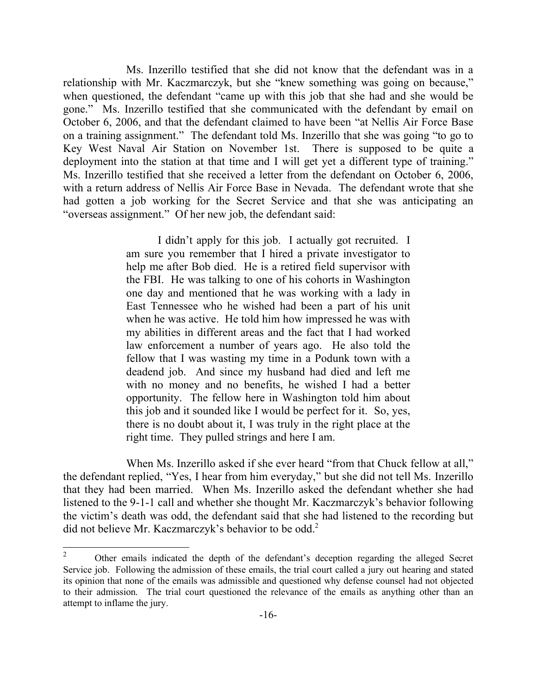Ms. Inzerillo testified that she did not know that the defendant was in a relationship with Mr. Kaczmarczyk, but she "knew something was going on because," when questioned, the defendant "came up with this job that she had and she would be gone." Ms. Inzerillo testified that she communicated with the defendant by email on October 6, 2006, and that the defendant claimed to have been "at Nellis Air Force Base on a training assignment." The defendant told Ms. Inzerillo that she was going "to go to Key West Naval Air Station on November 1st. There is supposed to be quite a deployment into the station at that time and I will get yet a different type of training." Ms. Inzerillo testified that she received a letter from the defendant on October 6, 2006, with a return address of Nellis Air Force Base in Nevada. The defendant wrote that she had gotten a job working for the Secret Service and that she was anticipating an "overseas assignment." Of her new job, the defendant said:

> I didn't apply for this job. I actually got recruited. I am sure you remember that I hired a private investigator to help me after Bob died. He is a retired field supervisor with the FBI. He was talking to one of his cohorts in Washington one day and mentioned that he was working with a lady in East Tennessee who he wished had been a part of his unit when he was active. He told him how impressed he was with my abilities in different areas and the fact that I had worked law enforcement a number of years ago. He also told the fellow that I was wasting my time in a Podunk town with a deadend job. And since my husband had died and left me with no money and no benefits, he wished I had a better opportunity. The fellow here in Washington told him about this job and it sounded like I would be perfect for it. So, yes, there is no doubt about it, I was truly in the right place at the right time. They pulled strings and here I am.

When Ms. Inzerillo asked if she ever heard "from that Chuck fellow at all," the defendant replied, "Yes, I hear from him everyday," but she did not tell Ms. Inzerillo that they had been married. When Ms. Inzerillo asked the defendant whether she had listened to the 9-1-1 call and whether she thought Mr. Kaczmarczyk's behavior following the victim's death was odd, the defendant said that she had listened to the recording but did not believe Mr. Kaczmarczyk's behavior to be odd.<sup>2</sup>

 $\overline{2}$ <sup>2</sup> Other emails indicated the depth of the defendant's deception regarding the alleged Secret Service job. Following the admission of these emails, the trial court called a jury out hearing and stated its opinion that none of the emails was admissible and questioned why defense counsel had not objected to their admission. The trial court questioned the relevance of the emails as anything other than an attempt to inflame the jury.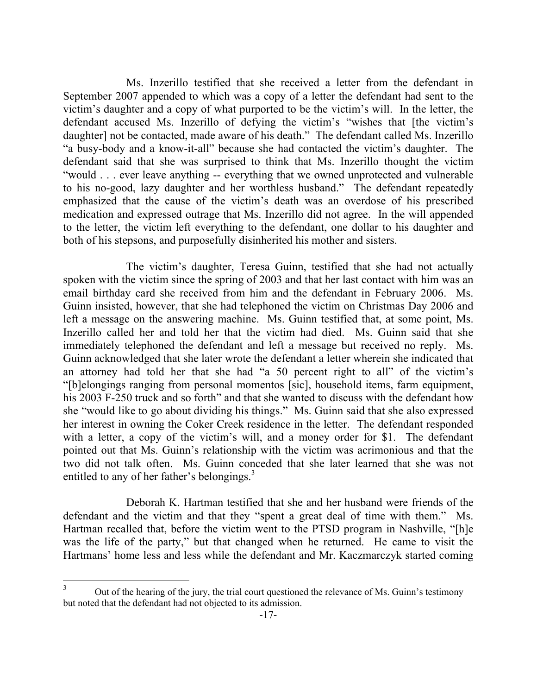Ms. Inzerillo testified that she received a letter from the defendant in September 2007 appended to which was a copy of a letter the defendant had sent to the victim's daughter and a copy of what purported to be the victim's will. In the letter, the defendant accused Ms. Inzerillo of defying the victim's "wishes that [the victim's daughter] not be contacted, made aware of his death." The defendant called Ms. Inzerillo "a busy-body and a know-it-all" because she had contacted the victim's daughter. The defendant said that she was surprised to think that Ms. Inzerillo thought the victim "would . . . ever leave anything -- everything that we owned unprotected and vulnerable to his no-good, lazy daughter and her worthless husband." The defendant repeatedly emphasized that the cause of the victim's death was an overdose of his prescribed medication and expressed outrage that Ms. Inzerillo did not agree. In the will appended to the letter, the victim left everything to the defendant, one dollar to his daughter and both of his stepsons, and purposefully disinherited his mother and sisters.

The victim's daughter, Teresa Guinn, testified that she had not actually spoken with the victim since the spring of 2003 and that her last contact with him was an email birthday card she received from him and the defendant in February 2006. Ms. Guinn insisted, however, that she had telephoned the victim on Christmas Day 2006 and left a message on the answering machine. Ms. Guinn testified that, at some point, Ms. Inzerillo called her and told her that the victim had died. Ms. Guinn said that she immediately telephoned the defendant and left a message but received no reply. Ms. Guinn acknowledged that she later wrote the defendant a letter wherein she indicated that an attorney had told her that she had "a 50 percent right to all" of the victim's "[b]elongings ranging from personal momentos [sic], household items, farm equipment, his 2003 F-250 truck and so forth" and that she wanted to discuss with the defendant how she "would like to go about dividing his things." Ms. Guinn said that she also expressed her interest in owning the Coker Creek residence in the letter. The defendant responded with a letter, a copy of the victim's will, and a money order for \$1. The defendant pointed out that Ms. Guinn's relationship with the victim was acrimonious and that the two did not talk often. Ms. Guinn conceded that she later learned that she was not entitled to any of her father's belongings.<sup>3</sup>

Deborah K. Hartman testified that she and her husband were friends of the defendant and the victim and that they "spent a great deal of time with them." Ms. Hartman recalled that, before the victim went to the PTSD program in Nashville, "[h]e was the life of the party," but that changed when he returned. He came to visit the Hartmans' home less and less while the defendant and Mr. Kaczmarczyk started coming

<sup>3</sup> Out of the hearing of the jury, the trial court questioned the relevance of Ms. Guinn's testimony but noted that the defendant had not objected to its admission.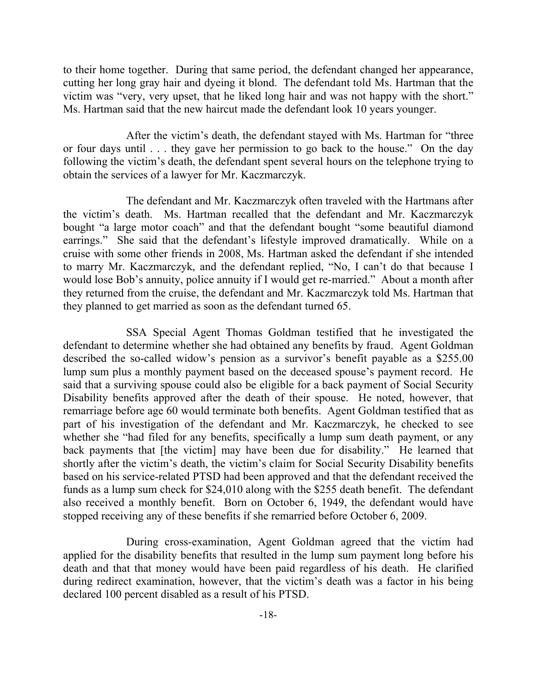to their home together. During that same period, the defendant changed her appearance, cutting her long gray hair and dyeing it blond. The defendant told Ms. Hartman that the victim was "very, very upset, that he liked long hair and was not happy with the short." Ms. Hartman said that the new haircut made the defendant look 10 years younger.

After the victim's death, the defendant stayed with Ms. Hartman for "three or four days until . . . they gave her permission to go back to the house." On the day following the victim's death, the defendant spent several hours on the telephone trying to obtain the services of a lawyer for Mr. Kaczmarczyk.

The defendant and Mr. Kaczmarczyk often traveled with the Hartmans after the victim's death. Ms. Hartman recalled that the defendant and Mr. Kaczmarczyk bought "a large motor coach" and that the defendant bought "some beautiful diamond earrings." She said that the defendant's lifestyle improved dramatically. While on a cruise with some other friends in 2008, Ms. Hartman asked the defendant if she intended to marry Mr. Kaczmarczyk, and the defendant replied, "No, I can't do that because I would lose Bob's annuity, police annuity if I would get re-married." About a month after they returned from the cruise, the defendant and Mr. Kaczmarczyk told Ms. Hartman that they planned to get married as soon as the defendant turned 65.

SSA Special Agent Thomas Goldman testified that he investigated the defendant to determine whether she had obtained any benefits by fraud. Agent Goldman described the so-called widow's pension as a survivor's benefit payable as a \$255.00 lump sum plus a monthly payment based on the deceased spouse's payment record. He said that a surviving spouse could also be eligible for a back payment of Social Security Disability benefits approved after the death of their spouse. He noted, however, that remarriage before age 60 would terminate both benefits. Agent Goldman testified that as part of his investigation of the defendant and Mr. Kaczmarczyk, he checked to see whether she "had filed for any benefits, specifically a lump sum death payment, or any back payments that [the victim] may have been due for disability." He learned that shortly after the victim's death, the victim's claim for Social Security Disability benefits based on his service-related PTSD had been approved and that the defendant received the funds as a lump sum check for \$24,010 along with the \$255 death benefit. The defendant also received a monthly benefit. Born on October 6, 1949, the defendant would have stopped receiving any of these benefits if she remarried before October 6, 2009.

During cross-examination, Agent Goldman agreed that the victim had applied for the disability benefits that resulted in the lump sum payment long before his death and that that money would have been paid regardless of his death. He clarified during redirect examination, however, that the victim's death was a factor in his being declared 100 percent disabled as a result of his PTSD.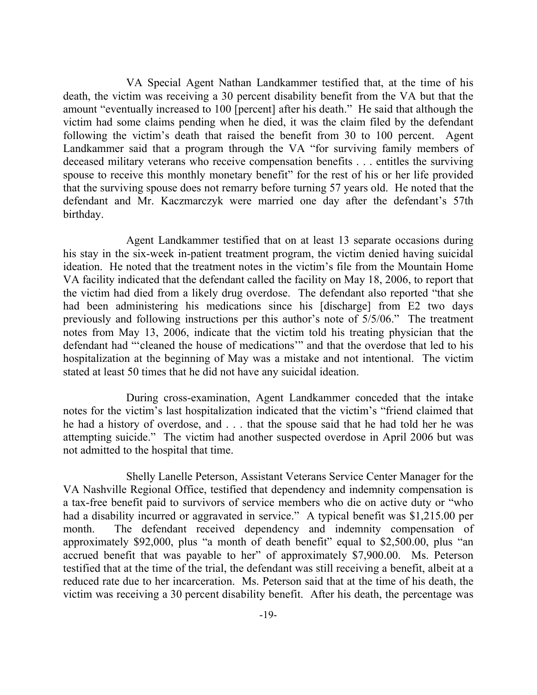VA Special Agent Nathan Landkammer testified that, at the time of his death, the victim was receiving a 30 percent disability benefit from the VA but that the amount "eventually increased to 100 [percent] after his death." He said that although the victim had some claims pending when he died, it was the claim filed by the defendant following the victim's death that raised the benefit from 30 to 100 percent. Agent Landkammer said that a program through the VA "for surviving family members of deceased military veterans who receive compensation benefits . . . entitles the surviving spouse to receive this monthly monetary benefit" for the rest of his or her life provided that the surviving spouse does not remarry before turning 57 years old. He noted that the defendant and Mr. Kaczmarczyk were married one day after the defendant's 57th birthday.

Agent Landkammer testified that on at least 13 separate occasions during his stay in the six-week in-patient treatment program, the victim denied having suicidal ideation. He noted that the treatment notes in the victim's file from the Mountain Home VA facility indicated that the defendant called the facility on May 18, 2006, to report that the victim had died from a likely drug overdose. The defendant also reported "that she had been administering his medications since his [discharge] from E2 two days previously and following instructions per this author's note of 5/5/06." The treatment notes from May 13, 2006, indicate that the victim told his treating physician that the defendant had "'cleaned the house of medications'" and that the overdose that led to his hospitalization at the beginning of May was a mistake and not intentional. The victim stated at least 50 times that he did not have any suicidal ideation.

During cross-examination, Agent Landkammer conceded that the intake notes for the victim's last hospitalization indicated that the victim's "friend claimed that he had a history of overdose, and . . . that the spouse said that he had told her he was attempting suicide." The victim had another suspected overdose in April 2006 but was not admitted to the hospital that time.

Shelly Lanelle Peterson, Assistant Veterans Service Center Manager for the VA Nashville Regional Office, testified that dependency and indemnity compensation is a tax-free benefit paid to survivors of service members who die on active duty or "who had a disability incurred or aggravated in service." A typical benefit was \$1,215.00 per month. The defendant received dependency and indemnity compensation of approximately \$92,000, plus "a month of death benefit" equal to \$2,500.00, plus "an accrued benefit that was payable to her" of approximately \$7,900.00. Ms. Peterson testified that at the time of the trial, the defendant was still receiving a benefit, albeit at a reduced rate due to her incarceration. Ms. Peterson said that at the time of his death, the victim was receiving a 30 percent disability benefit. After his death, the percentage was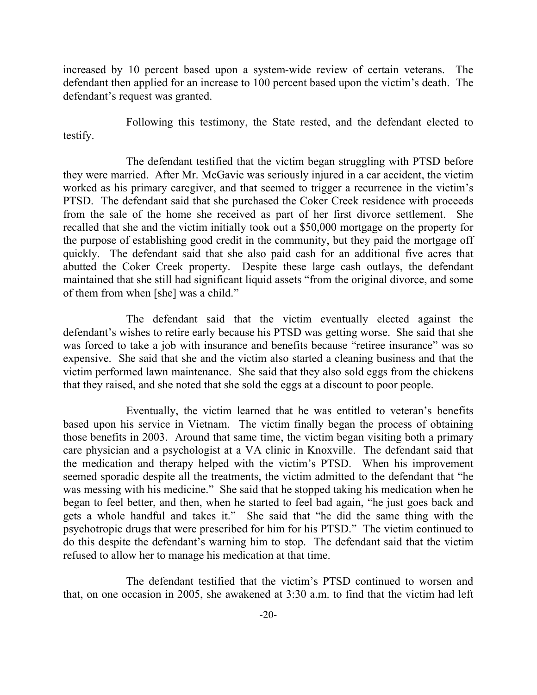increased by 10 percent based upon a system-wide review of certain veterans. The defendant then applied for an increase to 100 percent based upon the victim's death. The defendant's request was granted.

Following this testimony, the State rested, and the defendant elected to testify.

The defendant testified that the victim began struggling with PTSD before they were married. After Mr. McGavic was seriously injured in a car accident, the victim worked as his primary caregiver, and that seemed to trigger a recurrence in the victim's PTSD. The defendant said that she purchased the Coker Creek residence with proceeds from the sale of the home she received as part of her first divorce settlement. She recalled that she and the victim initially took out a \$50,000 mortgage on the property for the purpose of establishing good credit in the community, but they paid the mortgage off quickly. The defendant said that she also paid cash for an additional five acres that abutted the Coker Creek property. Despite these large cash outlays, the defendant maintained that she still had significant liquid assets "from the original divorce, and some of them from when [she] was a child."

The defendant said that the victim eventually elected against the defendant's wishes to retire early because his PTSD was getting worse. She said that she was forced to take a job with insurance and benefits because "retiree insurance" was so expensive. She said that she and the victim also started a cleaning business and that the victim performed lawn maintenance. She said that they also sold eggs from the chickens that they raised, and she noted that she sold the eggs at a discount to poor people.

Eventually, the victim learned that he was entitled to veteran's benefits based upon his service in Vietnam. The victim finally began the process of obtaining those benefits in 2003. Around that same time, the victim began visiting both a primary care physician and a psychologist at a VA clinic in Knoxville. The defendant said that the medication and therapy helped with the victim's PTSD. When his improvement seemed sporadic despite all the treatments, the victim admitted to the defendant that "he was messing with his medicine." She said that he stopped taking his medication when he began to feel better, and then, when he started to feel bad again, "he just goes back and gets a whole handful and takes it." She said that "he did the same thing with the psychotropic drugs that were prescribed for him for his PTSD." The victim continued to do this despite the defendant's warning him to stop. The defendant said that the victim refused to allow her to manage his medication at that time.

The defendant testified that the victim's PTSD continued to worsen and that, on one occasion in 2005, she awakened at 3:30 a.m. to find that the victim had left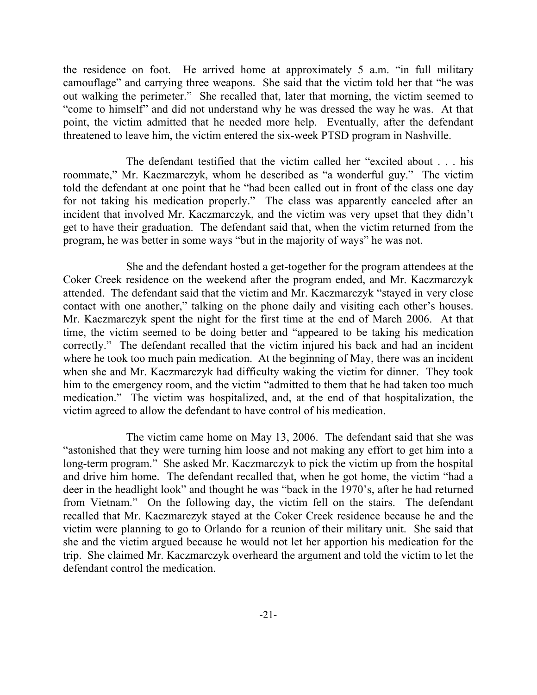the residence on foot. He arrived home at approximately 5 a.m. "in full military camouflage" and carrying three weapons. She said that the victim told her that "he was out walking the perimeter." She recalled that, later that morning, the victim seemed to "come to himself" and did not understand why he was dressed the way he was. At that point, the victim admitted that he needed more help. Eventually, after the defendant threatened to leave him, the victim entered the six-week PTSD program in Nashville.

The defendant testified that the victim called her "excited about . . . his roommate," Mr. Kaczmarczyk, whom he described as "a wonderful guy." The victim told the defendant at one point that he "had been called out in front of the class one day for not taking his medication properly." The class was apparently canceled after an incident that involved Mr. Kaczmarczyk, and the victim was very upset that they didn't get to have their graduation. The defendant said that, when the victim returned from the program, he was better in some ways "but in the majority of ways" he was not.

She and the defendant hosted a get-together for the program attendees at the Coker Creek residence on the weekend after the program ended, and Mr. Kaczmarczyk attended. The defendant said that the victim and Mr. Kaczmarczyk "stayed in very close contact with one another," talking on the phone daily and visiting each other's houses. Mr. Kaczmarczyk spent the night for the first time at the end of March 2006. At that time, the victim seemed to be doing better and "appeared to be taking his medication correctly." The defendant recalled that the victim injured his back and had an incident where he took too much pain medication. At the beginning of May, there was an incident when she and Mr. Kaczmarczyk had difficulty waking the victim for dinner. They took him to the emergency room, and the victim "admitted to them that he had taken too much medication." The victim was hospitalized, and, at the end of that hospitalization, the victim agreed to allow the defendant to have control of his medication.

The victim came home on May 13, 2006. The defendant said that she was "astonished that they were turning him loose and not making any effort to get him into a long-term program." She asked Mr. Kaczmarczyk to pick the victim up from the hospital and drive him home. The defendant recalled that, when he got home, the victim "had a deer in the headlight look" and thought he was "back in the 1970's, after he had returned from Vietnam." On the following day, the victim fell on the stairs. The defendant recalled that Mr. Kaczmarczyk stayed at the Coker Creek residence because he and the victim were planning to go to Orlando for a reunion of their military unit. She said that she and the victim argued because he would not let her apportion his medication for the trip. She claimed Mr. Kaczmarczyk overheard the argument and told the victim to let the defendant control the medication.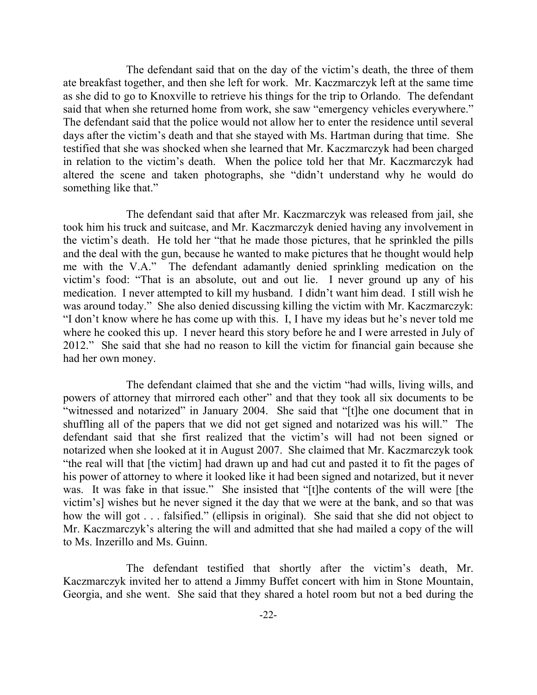The defendant said that on the day of the victim's death, the three of them ate breakfast together, and then she left for work. Mr. Kaczmarczyk left at the same time as she did to go to Knoxville to retrieve his things for the trip to Orlando. The defendant said that when she returned home from work, she saw "emergency vehicles everywhere." The defendant said that the police would not allow her to enter the residence until several days after the victim's death and that she stayed with Ms. Hartman during that time. She testified that she was shocked when she learned that Mr. Kaczmarczyk had been charged in relation to the victim's death. When the police told her that Mr. Kaczmarczyk had altered the scene and taken photographs, she "didn't understand why he would do something like that."

The defendant said that after Mr. Kaczmarczyk was released from jail, she took him his truck and suitcase, and Mr. Kaczmarczyk denied having any involvement in the victim's death. He told her "that he made those pictures, that he sprinkled the pills and the deal with the gun, because he wanted to make pictures that he thought would help me with the V.A." The defendant adamantly denied sprinkling medication on the victim's food: "That is an absolute, out and out lie. I never ground up any of his medication. I never attempted to kill my husband. I didn't want him dead. I still wish he was around today." She also denied discussing killing the victim with Mr. Kaczmarczyk: "I don't know where he has come up with this. I, I have my ideas but he's never told me where he cooked this up. I never heard this story before he and I were arrested in July of 2012." She said that she had no reason to kill the victim for financial gain because she had her own money.

The defendant claimed that she and the victim "had wills, living wills, and powers of attorney that mirrored each other" and that they took all six documents to be "witnessed and notarized" in January 2004. She said that "[t]he one document that in shuffling all of the papers that we did not get signed and notarized was his will." The defendant said that she first realized that the victim's will had not been signed or notarized when she looked at it in August 2007. She claimed that Mr. Kaczmarczyk took "the real will that [the victim] had drawn up and had cut and pasted it to fit the pages of his power of attorney to where it looked like it had been signed and notarized, but it never was. It was fake in that issue." She insisted that "[t]he contents of the will were [the victim's] wishes but he never signed it the day that we were at the bank, and so that was how the will got . . . falsified." (ellipsis in original). She said that she did not object to Mr. Kaczmarczyk's altering the will and admitted that she had mailed a copy of the will to Ms. Inzerillo and Ms. Guinn.

The defendant testified that shortly after the victim's death, Mr. Kaczmarczyk invited her to attend a Jimmy Buffet concert with him in Stone Mountain, Georgia, and she went. She said that they shared a hotel room but not a bed during the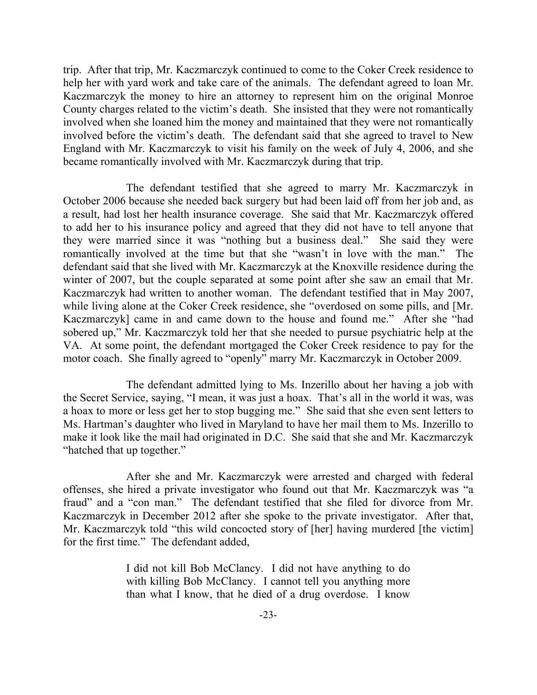trip. After that trip, Mr. Kaczmarczyk continued to come to the Coker Creek residence to help her with yard work and take care of the animals. The defendant agreed to loan Mr. Kaczmarczyk the money to hire an attorney to represent him on the original Monroe County charges related to the victim's death. She insisted that they were not romantically involved when she loaned him the money and maintained that they were not romantically involved before the victim's death. The defendant said that she agreed to travel to New England with Mr. Kaczmarczyk to visit his family on the week of July 4, 2006, and she became romantically involved with Mr. Kaczmarczyk during that trip.

The defendant testified that she agreed to marry Mr. Kaczmarczyk in October 2006 because she needed back surgery but had been laid off from her job and, as a result, had lost her health insurance coverage. She said that Mr. Kaczmarczyk offered to add her to his insurance policy and agreed that they did not have to tell anyone that they were married since it was "nothing but a business deal." She said they were romantically involved at the time but that she "wasn't in love with the man." The defendant said that she lived with Mr. Kaczmarczyk at the Knoxville residence during the winter of 2007, but the couple separated at some point after she saw an email that Mr. Kaczmarczyk had written to another woman. The defendant testified that in May 2007, while living alone at the Coker Creek residence, she "overdosed on some pills, and [Mr. Kaczmarczyk] came in and came down to the house and found me." After she "had sobered up," Mr. Kaczmarczyk told her that she needed to pursue psychiatric help at the VA. At some point, the defendant mortgaged the Coker Creek residence to pay for the motor coach. She finally agreed to "openly" marry Mr. Kaczmarczyk in October 2009.

The defendant admitted lying to Ms. Inzerillo about her having a job with the Secret Service, saying, "I mean, it was just a hoax. That's all in the world it was, was a hoax to more or less get her to stop bugging me." She said that she even sent letters to Ms. Hartman's daughter who lived in Maryland to have her mail them to Ms. Inzerillo to make it look like the mail had originated in D.C. She said that she and Mr. Kaczmarczyk "hatched that up together."

After she and Mr. Kaczmarczyk were arrested and charged with federal offenses, she hired a private investigator who found out that Mr. Kaczmarczyk was "a fraud" and a "con man." The defendant testified that she filed for divorce from Mr. Kaczmarczyk in December 2012 after she spoke to the private investigator. After that, Mr. Kaczmarczyk told "this wild concocted story of [her] having murdered [the victim] for the first time." The defendant added,

> I did not kill Bob McClancy. I did not have anything to do with killing Bob McClancy. I cannot tell you anything more than what I know, that he died of a drug overdose. I know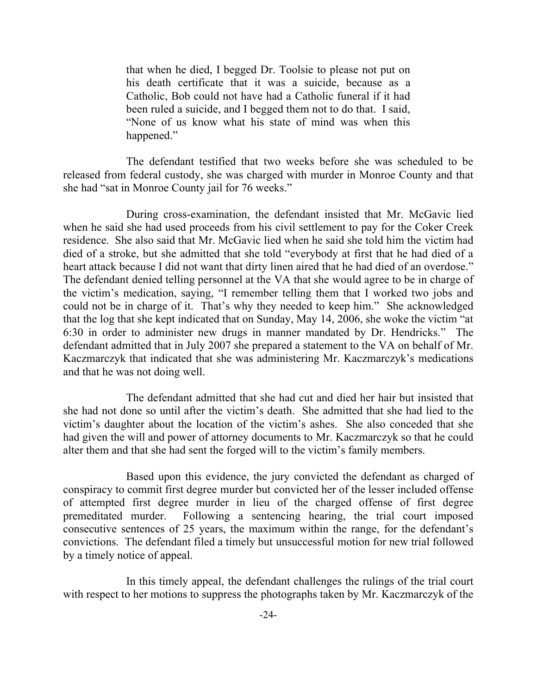that when he died, I begged Dr. Toolsie to please not put on his death certificate that it was a suicide, because as a Catholic, Bob could not have had a Catholic funeral if it had been ruled a suicide, and I begged them not to do that. I said, "None of us know what his state of mind was when this happened."

The defendant testified that two weeks before she was scheduled to be released from federal custody, she was charged with murder in Monroe County and that she had "sat in Monroe County jail for 76 weeks."

During cross-examination, the defendant insisted that Mr. McGavic lied when he said she had used proceeds from his civil settlement to pay for the Coker Creek residence. She also said that Mr. McGavic lied when he said she told him the victim had died of a stroke, but she admitted that she told "everybody at first that he had died of a heart attack because I did not want that dirty linen aired that he had died of an overdose." The defendant denied telling personnel at the VA that she would agree to be in charge of the victim's medication, saying, "I remember telling them that I worked two jobs and could not be in charge of it. That's why they needed to keep him." She acknowledged that the log that she kept indicated that on Sunday, May 14, 2006, she woke the victim "at 6:30 in order to administer new drugs in manner mandated by Dr. Hendricks." The defendant admitted that in July 2007 she prepared a statement to the VA on behalf of Mr. Kaczmarczyk that indicated that she was administering Mr. Kaczmarczyk's medications and that he was not doing well.

The defendant admitted that she had cut and died her hair but insisted that she had not done so until after the victim's death. She admitted that she had lied to the victim's daughter about the location of the victim's ashes. She also conceded that she had given the will and power of attorney documents to Mr. Kaczmarczyk so that he could alter them and that she had sent the forged will to the victim's family members.

Based upon this evidence, the jury convicted the defendant as charged of conspiracy to commit first degree murder but convicted her of the lesser included offense of attempted first degree murder in lieu of the charged offense of first degree premeditated murder. Following a sentencing hearing, the trial court imposed consecutive sentences of 25 years, the maximum within the range, for the defendant's convictions. The defendant filed a timely but unsuccessful motion for new trial followed by a timely notice of appeal.

In this timely appeal, the defendant challenges the rulings of the trial court with respect to her motions to suppress the photographs taken by Mr. Kaczmarczyk of the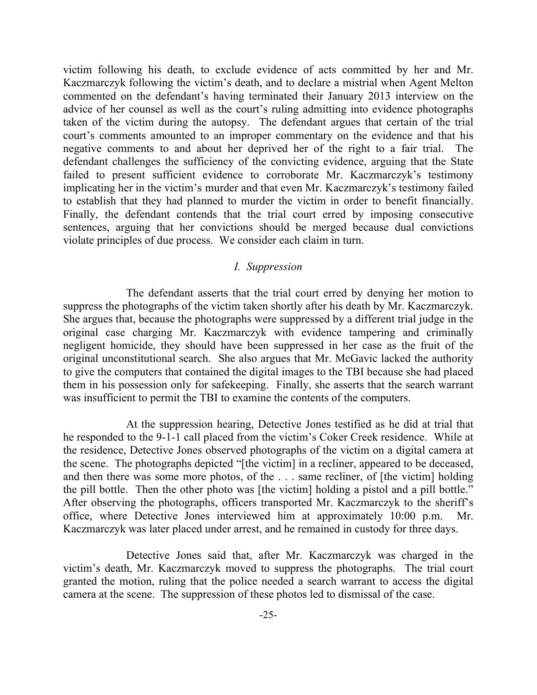victim following his death, to exclude evidence of acts committed by her and Mr. Kaczmarczyk following the victim's death, and to declare a mistrial when Agent Melton commented on the defendant's having terminated their January 2013 interview on the advice of her counsel as well as the court's ruling admitting into evidence photographs taken of the victim during the autopsy. The defendant argues that certain of the trial court's comments amounted to an improper commentary on the evidence and that his negative comments to and about her deprived her of the right to a fair trial. The defendant challenges the sufficiency of the convicting evidence, arguing that the State failed to present sufficient evidence to corroborate Mr. Kaczmarczyk's testimony implicating her in the victim's murder and that even Mr. Kaczmarczyk's testimony failed to establish that they had planned to murder the victim in order to benefit financially. Finally, the defendant contends that the trial court erred by imposing consecutive sentences, arguing that her convictions should be merged because dual convictions violate principles of due process. We consider each claim in turn.

## *I. Suppression*

The defendant asserts that the trial court erred by denying her motion to suppress the photographs of the victim taken shortly after his death by Mr. Kaczmarczyk. She argues that, because the photographs were suppressed by a different trial judge in the original case charging Mr. Kaczmarczyk with evidence tampering and criminally negligent homicide, they should have been suppressed in her case as the fruit of the original unconstitutional search. She also argues that Mr. McGavic lacked the authority to give the computers that contained the digital images to the TBI because she had placed them in his possession only for safekeeping. Finally, she asserts that the search warrant was insufficient to permit the TBI to examine the contents of the computers.

At the suppression hearing, Detective Jones testified as he did at trial that he responded to the 9-1-1 call placed from the victim's Coker Creek residence. While at the residence, Detective Jones observed photographs of the victim on a digital camera at the scene. The photographs depicted "[the victim] in a recliner, appeared to be deceased, and then there was some more photos, of the . . . same recliner, of [the victim] holding the pill bottle. Then the other photo was [the victim] holding a pistol and a pill bottle." After observing the photographs, officers transported Mr. Kaczmarczyk to the sheriff's office, where Detective Jones interviewed him at approximately 10:00 p.m. Mr. Kaczmarczyk was later placed under arrest, and he remained in custody for three days.

Detective Jones said that, after Mr. Kaczmarczyk was charged in the victim's death, Mr. Kaczmarczyk moved to suppress the photographs. The trial court granted the motion, ruling that the police needed a search warrant to access the digital camera at the scene. The suppression of these photos led to dismissal of the case.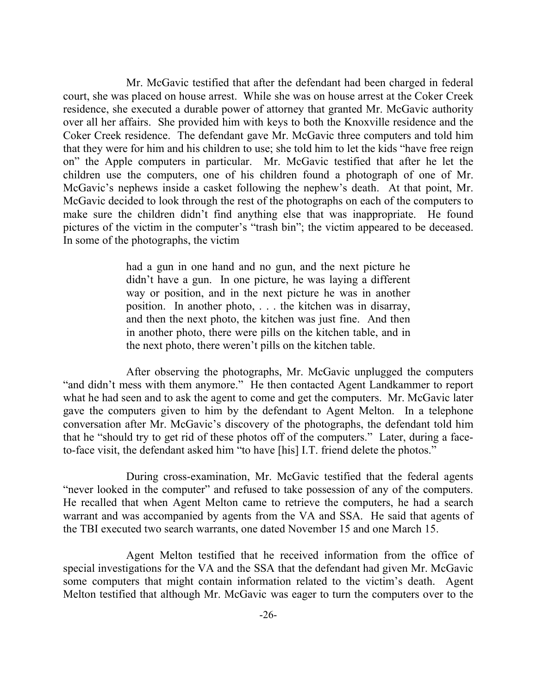Mr. McGavic testified that after the defendant had been charged in federal court, she was placed on house arrest. While she was on house arrest at the Coker Creek residence, she executed a durable power of attorney that granted Mr. McGavic authority over all her affairs. She provided him with keys to both the Knoxville residence and the Coker Creek residence. The defendant gave Mr. McGavic three computers and told him that they were for him and his children to use; she told him to let the kids "have free reign on" the Apple computers in particular. Mr. McGavic testified that after he let the children use the computers, one of his children found a photograph of one of Mr. McGavic's nephews inside a casket following the nephew's death. At that point, Mr. McGavic decided to look through the rest of the photographs on each of the computers to make sure the children didn't find anything else that was inappropriate. He found pictures of the victim in the computer's "trash bin"; the victim appeared to be deceased. In some of the photographs, the victim

> had a gun in one hand and no gun, and the next picture he didn't have a gun. In one picture, he was laying a different way or position, and in the next picture he was in another position. In another photo, . . . the kitchen was in disarray, and then the next photo, the kitchen was just fine. And then in another photo, there were pills on the kitchen table, and in the next photo, there weren't pills on the kitchen table.

After observing the photographs, Mr. McGavic unplugged the computers "and didn't mess with them anymore." He then contacted Agent Landkammer to report what he had seen and to ask the agent to come and get the computers. Mr. McGavic later gave the computers given to him by the defendant to Agent Melton. In a telephone conversation after Mr. McGavic's discovery of the photographs, the defendant told him that he "should try to get rid of these photos off of the computers." Later, during a faceto-face visit, the defendant asked him "to have [his] I.T. friend delete the photos."

During cross-examination, Mr. McGavic testified that the federal agents "never looked in the computer" and refused to take possession of any of the computers. He recalled that when Agent Melton came to retrieve the computers, he had a search warrant and was accompanied by agents from the VA and SSA. He said that agents of the TBI executed two search warrants, one dated November 15 and one March 15.

Agent Melton testified that he received information from the office of special investigations for the VA and the SSA that the defendant had given Mr. McGavic some computers that might contain information related to the victim's death. Agent Melton testified that although Mr. McGavic was eager to turn the computers over to the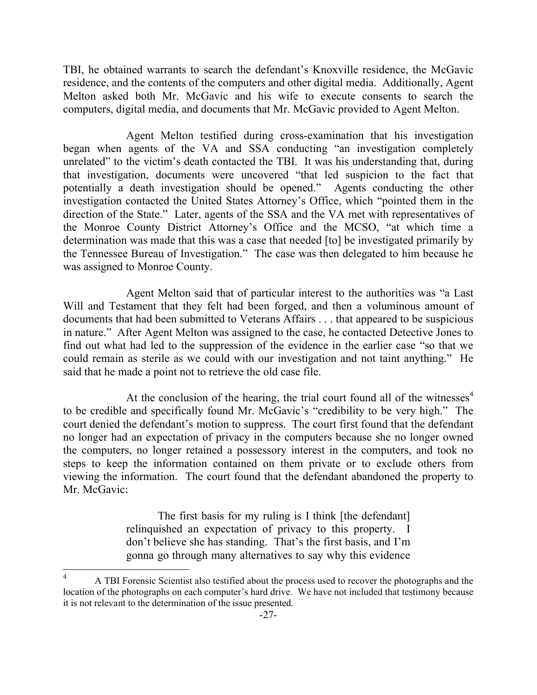TBI, he obtained warrants to search the defendant's Knoxville residence, the McGavic residence, and the contents of the computers and other digital media. Additionally, Agent Melton asked both Mr. McGavic and his wife to execute consents to search the computers, digital media, and documents that Mr. McGavic provided to Agent Melton.

Agent Melton testified during cross-examination that his investigation began when agents of the VA and SSA conducting "an investigation completely unrelated" to the victim's death contacted the TBI. It was his understanding that, during that investigation, documents were uncovered "that led suspicion to the fact that potentially a death investigation should be opened." Agents conducting the other investigation contacted the United States Attorney's Office, which "pointed them in the direction of the State." Later, agents of the SSA and the VA met with representatives of the Monroe County District Attorney's Office and the MCSO, "at which time a determination was made that this was a case that needed [to] be investigated primarily by the Tennessee Bureau of Investigation." The case was then delegated to him because he was assigned to Monroe County.

Agent Melton said that of particular interest to the authorities was "a Last Will and Testament that they felt had been forged, and then a voluminous amount of documents that had been submitted to Veterans Affairs . . . that appeared to be suspicious in nature." After Agent Melton was assigned to the case, he contacted Detective Jones to find out what had led to the suppression of the evidence in the earlier case "so that we could remain as sterile as we could with our investigation and not taint anything." He said that he made a point not to retrieve the old case file.

At the conclusion of the hearing, the trial court found all of the witnesses<sup>4</sup> to be credible and specifically found Mr. McGavic's "credibility to be very high." The court denied the defendant's motion to suppress. The court first found that the defendant no longer had an expectation of privacy in the computers because she no longer owned the computers, no longer retained a possessory interest in the computers, and took no steps to keep the information contained on them private or to exclude others from viewing the information. The court found that the defendant abandoned the property to Mr. McGavic<sup>.</sup>

> The first basis for my ruling is I think [the defendant] relinquished an expectation of privacy to this property. I don't believe she has standing. That's the first basis, and I'm gonna go through many alternatives to say why this evidence

 $\overline{\phantom{a}}$ 

<sup>4</sup> A TBI Forensic Scientist also testified about the process used to recover the photographs and the location of the photographs on each computer's hard drive. We have not included that testimony because it is not relevant to the determination of the issue presented.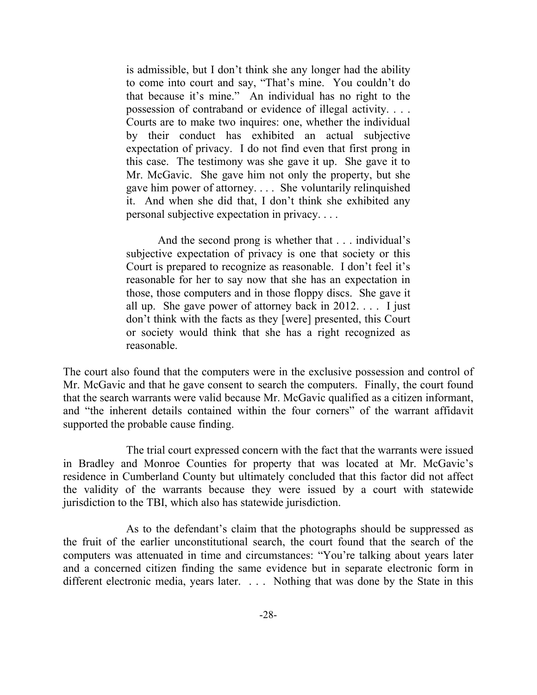is admissible, but I don't think she any longer had the ability to come into court and say, "That's mine. You couldn't do that because it's mine." An individual has no right to the possession of contraband or evidence of illegal activity. . . . Courts are to make two inquires: one, whether the individual by their conduct has exhibited an actual subjective expectation of privacy. I do not find even that first prong in this case. The testimony was she gave it up. She gave it to Mr. McGavic. She gave him not only the property, but she gave him power of attorney. . . . She voluntarily relinquished it. And when she did that, I don't think she exhibited any personal subjective expectation in privacy. . . .

And the second prong is whether that . . . individual's subjective expectation of privacy is one that society or this Court is prepared to recognize as reasonable. I don't feel it's reasonable for her to say now that she has an expectation in those, those computers and in those floppy discs. She gave it all up. She gave power of attorney back in 2012. . . . I just don't think with the facts as they [were] presented, this Court or society would think that she has a right recognized as reasonable.

The court also found that the computers were in the exclusive possession and control of Mr. McGavic and that he gave consent to search the computers. Finally, the court found that the search warrants were valid because Mr. McGavic qualified as a citizen informant, and "the inherent details contained within the four corners" of the warrant affidavit supported the probable cause finding.

The trial court expressed concern with the fact that the warrants were issued in Bradley and Monroe Counties for property that was located at Mr. McGavic's residence in Cumberland County but ultimately concluded that this factor did not affect the validity of the warrants because they were issued by a court with statewide jurisdiction to the TBI, which also has statewide jurisdiction.

As to the defendant's claim that the photographs should be suppressed as the fruit of the earlier unconstitutional search, the court found that the search of the computers was attenuated in time and circumstances: "You're talking about years later and a concerned citizen finding the same evidence but in separate electronic form in different electronic media, years later. . . . Nothing that was done by the State in this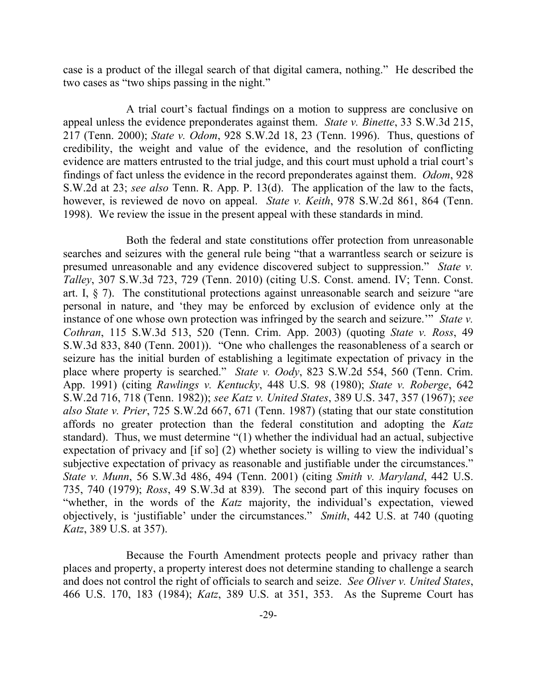case is a product of the illegal search of that digital camera, nothing." He described the two cases as "two ships passing in the night."

A trial court's factual findings on a motion to suppress are conclusive on appeal unless the evidence preponderates against them. *State v. Binette*, 33 S.W.3d 215, 217 (Tenn. 2000); *State v. Odom*, 928 S.W.2d 18, 23 (Tenn. 1996). Thus, questions of credibility, the weight and value of the evidence, and the resolution of conflicting evidence are matters entrusted to the trial judge, and this court must uphold a trial court's findings of fact unless the evidence in the record preponderates against them. *Odom*, 928 S.W.2d at 23; *see also* Tenn. R. App. P. 13(d). The application of the law to the facts, however, is reviewed de novo on appeal. *State v. Keith*, 978 S.W.2d 861, 864 (Tenn. 1998). We review the issue in the present appeal with these standards in mind.

Both the federal and state constitutions offer protection from unreasonable searches and seizures with the general rule being "that a warrantless search or seizure is presumed unreasonable and any evidence discovered subject to suppression." *State v. Talley*, 307 S.W.3d 723, 729 (Tenn. 2010) (citing U.S. Const. amend. IV; Tenn. Const. art. I, § 7). The constitutional protections against unreasonable search and seizure "are personal in nature, and 'they may be enforced by exclusion of evidence only at the instance of one whose own protection was infringed by the search and seizure.'" *State v. Cothran*, 115 S.W.3d 513, 520 (Tenn. Crim. App. 2003) (quoting *State v. Ross*, 49 S.W.3d 833, 840 (Tenn. 2001)). "One who challenges the reasonableness of a search or seizure has the initial burden of establishing a legitimate expectation of privacy in the place where property is searched." *State v. Oody*, 823 S.W.2d 554, 560 (Tenn. Crim. App. 1991) (citing *Rawlings v. Kentucky*, 448 U.S. 98 (1980); *State v. Roberge*, 642 S.W.2d 716, 718 (Tenn. 1982)); *see Katz v. United States*, 389 U.S. 347, 357 (1967); *see also State v. Prier*, 725 S.W.2d 667, 671 (Tenn. 1987) (stating that our state constitution affords no greater protection than the federal constitution and adopting the *Katz* standard). Thus, we must determine "(1) whether the individual had an actual, subjective expectation of privacy and [if so] (2) whether society is willing to view the individual's subjective expectation of privacy as reasonable and justifiable under the circumstances." *State v. Munn*, 56 S.W.3d 486, 494 (Tenn. 2001) (citing *Smith v. Maryland*, 442 U.S. 735, 740 (1979); *Ross*, 49 S.W.3d at 839). The second part of this inquiry focuses on "whether, in the words of the *Katz* majority, the individual's expectation, viewed objectively, is 'justifiable' under the circumstances." *Smith*, 442 U.S. at 740 (quoting *Katz*, 389 U.S. at 357).

Because the Fourth Amendment protects people and privacy rather than places and property, a property interest does not determine standing to challenge a search and does not control the right of officials to search and seize. *See Oliver v. United States*, 466 U.S. 170, 183 (1984); *Katz*, 389 U.S. at 351, 353. As the Supreme Court has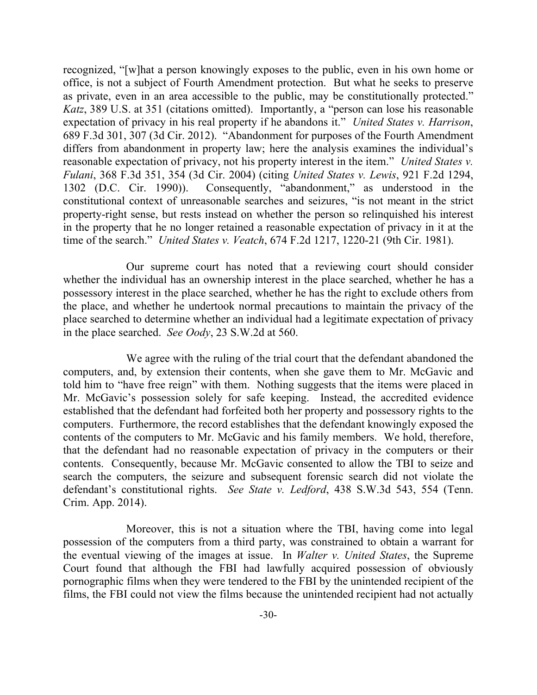recognized, "[w]hat a person knowingly exposes to the public, even in his own home or office, is not a subject of Fourth Amendment protection. But what he seeks to preserve as private, even in an area accessible to the public, may be constitutionally protected." *Katz*, 389 U.S. at 351 (citations omitted). Importantly, a "person can lose his reasonable expectation of privacy in his real property if he abandons it." *United States v. Harrison*, 689 F.3d 301, 307 (3d Cir. 2012). "Abandonment for purposes of the Fourth Amendment differs from abandonment in property law; here the analysis examines the individual's reasonable expectation of privacy, not his property interest in the item." *United States v. Fulani*, 368 F.3d 351, 354 (3d Cir. 2004) (citing *United States v. Lewis*, 921 F.2d 1294, 1302 (D.C. Cir. 1990)). Consequently, "abandonment," as understood in the constitutional context of unreasonable searches and seizures, "is not meant in the strict property-right sense, but rests instead on whether the person so relinquished his interest in the property that he no longer retained a reasonable expectation of privacy in it at the time of the search." *United States v. Veatch*, 674 F.2d 1217, 1220-21 (9th Cir. 1981).

Our supreme court has noted that a reviewing court should consider whether the individual has an ownership interest in the place searched, whether he has a possessory interest in the place searched, whether he has the right to exclude others from the place, and whether he undertook normal precautions to maintain the privacy of the place searched to determine whether an individual had a legitimate expectation of privacy in the place searched. *See Oody*, 23 S.W.2d at 560.

We agree with the ruling of the trial court that the defendant abandoned the computers, and, by extension their contents, when she gave them to Mr. McGavic and told him to "have free reign" with them. Nothing suggests that the items were placed in Mr. McGavic's possession solely for safe keeping. Instead, the accredited evidence established that the defendant had forfeited both her property and possessory rights to the computers. Furthermore, the record establishes that the defendant knowingly exposed the contents of the computers to Mr. McGavic and his family members. We hold, therefore, that the defendant had no reasonable expectation of privacy in the computers or their contents. Consequently, because Mr. McGavic consented to allow the TBI to seize and search the computers, the seizure and subsequent forensic search did not violate the defendant's constitutional rights. *See State v. Ledford*, 438 S.W.3d 543, 554 (Tenn. Crim. App. 2014).

Moreover, this is not a situation where the TBI, having come into legal possession of the computers from a third party, was constrained to obtain a warrant for the eventual viewing of the images at issue. In *Walter v. United States*, the Supreme Court found that although the FBI had lawfully acquired possession of obviously pornographic films when they were tendered to the FBI by the unintended recipient of the films, the FBI could not view the films because the unintended recipient had not actually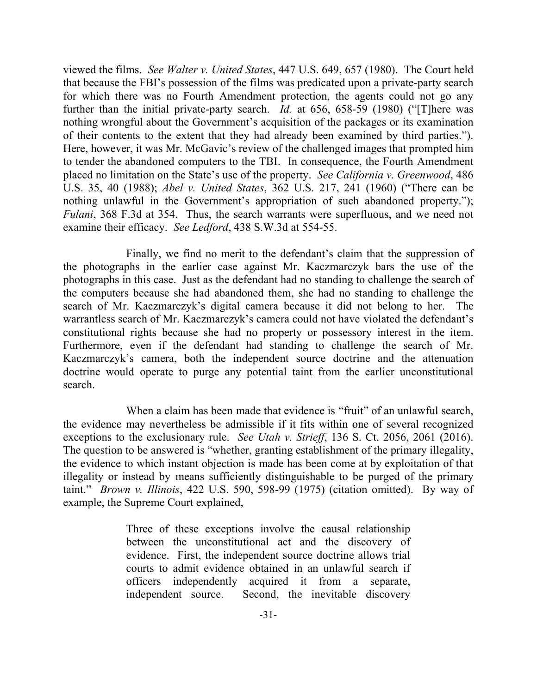viewed the films. *See Walter v. United States*, 447 U.S. 649, 657 (1980). The Court held that because the FBI's possession of the films was predicated upon a private-party search for which there was no Fourth Amendment protection, the agents could not go any further than the initial private-party search. *Id.* at 656, 658-59 (1980) ("[T]here was nothing wrongful about the Government's acquisition of the packages or its examination of their contents to the extent that they had already been examined by third parties."). Here, however, it was Mr. McGavic's review of the challenged images that prompted him to tender the abandoned computers to the TBI. In consequence, the Fourth Amendment placed no limitation on the State's use of the property. *See California v. Greenwood*, 486 U.S. 35, 40 (1988); *Abel v. United States*, 362 U.S. 217, 241 (1960) ("There can be nothing unlawful in the Government's appropriation of such abandoned property."); *Fulani*, 368 F.3d at 354. Thus, the search warrants were superfluous, and we need not examine their efficacy. *See Ledford*, 438 S.W.3d at 554-55.

Finally, we find no merit to the defendant's claim that the suppression of the photographs in the earlier case against Mr. Kaczmarczyk bars the use of the photographs in this case. Just as the defendant had no standing to challenge the search of the computers because she had abandoned them, she had no standing to challenge the search of Mr. Kaczmarczyk's digital camera because it did not belong to her. The warrantless search of Mr. Kaczmarczyk's camera could not have violated the defendant's constitutional rights because she had no property or possessory interest in the item. Furthermore, even if the defendant had standing to challenge the search of Mr. Kaczmarczyk's camera, both the independent source doctrine and the attenuation doctrine would operate to purge any potential taint from the earlier unconstitutional search.

When a claim has been made that evidence is "fruit" of an unlawful search, the evidence may nevertheless be admissible if it fits within one of several recognized exceptions to the exclusionary rule. *See Utah v. Strieff*, 136 S. Ct. 2056, 2061 (2016). The question to be answered is "whether, granting establishment of the primary illegality, the evidence to which instant objection is made has been come at by exploitation of that illegality or instead by means sufficiently distinguishable to be purged of the primary taint." *Brown v. Illinois*, 422 U.S. 590, 598-99 (1975) (citation omitted). By way of example, the Supreme Court explained,

> Three of these exceptions involve the causal relationship between the unconstitutional act and the discovery of evidence. First, the independent source doctrine allows trial courts to admit evidence obtained in an unlawful search if officers independently acquired it from a separate, independent source. Second, the inevitable discovery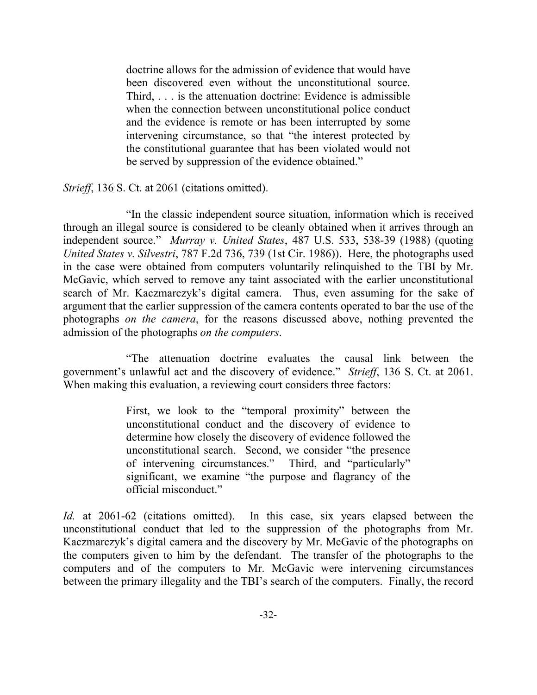doctrine allows for the admission of evidence that would have been discovered even without the unconstitutional source. Third, . . . is the attenuation doctrine: Evidence is admissible when the connection between unconstitutional police conduct and the evidence is remote or has been interrupted by some intervening circumstance, so that "the interest protected by the constitutional guarantee that has been violated would not be served by suppression of the evidence obtained."

*Strieff*, 136 S. Ct. at 2061 (citations omitted).

"In the classic independent source situation, information which is received through an illegal source is considered to be cleanly obtained when it arrives through an independent source." *Murray v. United States*, 487 U.S. 533, 538-39 (1988) (quoting *United States v. Silvestri*, 787 F.2d 736, 739 (1st Cir. 1986)). Here, the photographs used in the case were obtained from computers voluntarily relinquished to the TBI by Mr. McGavic, which served to remove any taint associated with the earlier unconstitutional search of Mr. Kaczmarczyk's digital camera. Thus, even assuming for the sake of argument that the earlier suppression of the camera contents operated to bar the use of the photographs *on the camera*, for the reasons discussed above, nothing prevented the admission of the photographs *on the computers*.

"The attenuation doctrine evaluates the causal link between the government's unlawful act and the discovery of evidence." *Strieff*, 136 S. Ct. at 2061. When making this evaluation, a reviewing court considers three factors:

> First, we look to the "temporal proximity" between the unconstitutional conduct and the discovery of evidence to determine how closely the discovery of evidence followed the unconstitutional search. Second, we consider "the presence of intervening circumstances." Third, and "particularly" significant, we examine "the purpose and flagrancy of the official misconduct."

*Id.* at 2061-62 (citations omitted). In this case, six years elapsed between the unconstitutional conduct that led to the suppression of the photographs from Mr. Kaczmarczyk's digital camera and the discovery by Mr. McGavic of the photographs on the computers given to him by the defendant. The transfer of the photographs to the computers and of the computers to Mr. McGavic were intervening circumstances between the primary illegality and the TBI's search of the computers. Finally, the record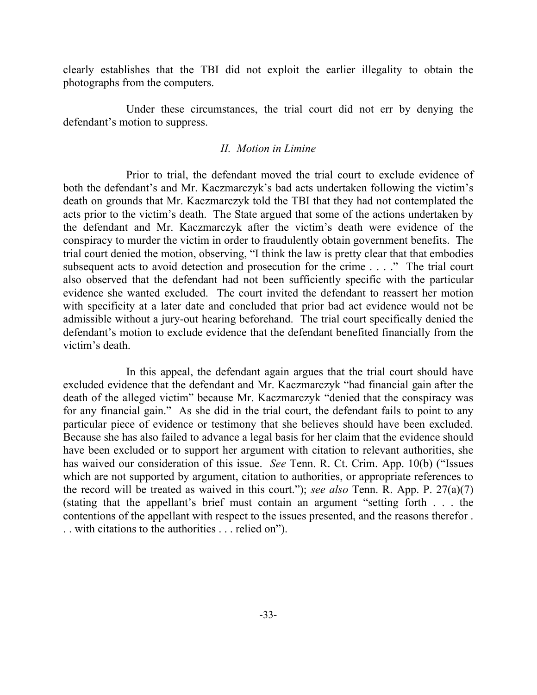clearly establishes that the TBI did not exploit the earlier illegality to obtain the photographs from the computers.

Under these circumstances, the trial court did not err by denying the defendant's motion to suppress.

#### *II. Motion in Limine*

Prior to trial, the defendant moved the trial court to exclude evidence of both the defendant's and Mr. Kaczmarczyk's bad acts undertaken following the victim's death on grounds that Mr. Kaczmarczyk told the TBI that they had not contemplated the acts prior to the victim's death. The State argued that some of the actions undertaken by the defendant and Mr. Kaczmarczyk after the victim's death were evidence of the conspiracy to murder the victim in order to fraudulently obtain government benefits. The trial court denied the motion, observing, "I think the law is pretty clear that that embodies subsequent acts to avoid detection and prosecution for the crime . . . ." The trial court also observed that the defendant had not been sufficiently specific with the particular evidence she wanted excluded. The court invited the defendant to reassert her motion with specificity at a later date and concluded that prior bad act evidence would not be admissible without a jury-out hearing beforehand. The trial court specifically denied the defendant's motion to exclude evidence that the defendant benefited financially from the victim's death.

In this appeal, the defendant again argues that the trial court should have excluded evidence that the defendant and Mr. Kaczmarczyk "had financial gain after the death of the alleged victim" because Mr. Kaczmarczyk "denied that the conspiracy was for any financial gain." As she did in the trial court, the defendant fails to point to any particular piece of evidence or testimony that she believes should have been excluded. Because she has also failed to advance a legal basis for her claim that the evidence should have been excluded or to support her argument with citation to relevant authorities, she has waived our consideration of this issue. *See* Tenn. R. Ct. Crim. App. 10(b) ("Issues which are not supported by argument, citation to authorities, or appropriate references to the record will be treated as waived in this court."); *see also* Tenn. R. App. P. 27(a)(7) (stating that the appellant's brief must contain an argument "setting forth . . . the contentions of the appellant with respect to the issues presented, and the reasons therefor . . . with citations to the authorities . . . relied on").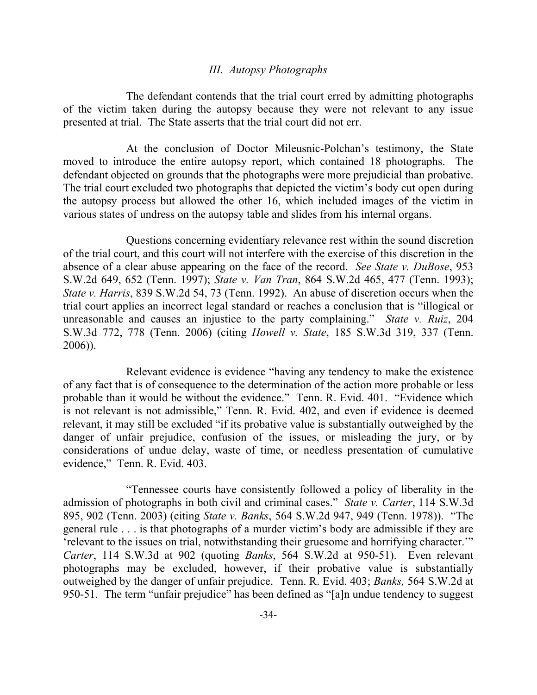#### *III. Autopsy Photographs*

The defendant contends that the trial court erred by admitting photographs of the victim taken during the autopsy because they were not relevant to any issue presented at trial. The State asserts that the trial court did not err.

At the conclusion of Doctor Mileusnic-Polchan's testimony, the State moved to introduce the entire autopsy report, which contained 18 photographs. The defendant objected on grounds that the photographs were more prejudicial than probative. The trial court excluded two photographs that depicted the victim's body cut open during the autopsy process but allowed the other 16, which included images of the victim in various states of undress on the autopsy table and slides from his internal organs.

Questions concerning evidentiary relevance rest within the sound discretion of the trial court, and this court will not interfere with the exercise of this discretion in the absence of a clear abuse appearing on the face of the record. *See State v. DuBose*, 953 S.W.2d 649, 652 (Tenn. 1997); *State v. Van Tran*, 864 S.W.2d 465, 477 (Tenn. 1993); *State v. Harris*, 839 S.W.2d 54, 73 (Tenn. 1992). An abuse of discretion occurs when the trial court applies an incorrect legal standard or reaches a conclusion that is "illogical or unreasonable and causes an injustice to the party complaining." *State v. Ruiz*, 204 S.W.3d 772, 778 (Tenn. 2006) (citing *Howell v. State*, 185 S.W.3d 319, 337 (Tenn. 2006)).

Relevant evidence is evidence "having any tendency to make the existence of any fact that is of consequence to the determination of the action more probable or less probable than it would be without the evidence." Tenn. R. Evid. 401. "Evidence which is not relevant is not admissible," Tenn. R. Evid. 402, and even if evidence is deemed relevant, it may still be excluded "if its probative value is substantially outweighed by the danger of unfair prejudice, confusion of the issues, or misleading the jury, or by considerations of undue delay, waste of time, or needless presentation of cumulative evidence," Tenn. R. Evid. 403.

"Tennessee courts have consistently followed a policy of liberality in the admission of photographs in both civil and criminal cases." *State v. Carter*, 114 S.W.3d 895, 902 (Tenn. 2003) (citing *State v. Banks*, 564 S.W.2d 947, 949 (Tenn. 1978)). "The general rule . . . is that photographs of a murder victim's body are admissible if they are 'relevant to the issues on trial, notwithstanding their gruesome and horrifying character.'" *Carter*, 114 S.W.3d at 902 (quoting *Banks*, 564 S.W.2d at 950-51). Even relevant photographs may be excluded, however, if their probative value is substantially outweighed by the danger of unfair prejudice. Tenn. R. Evid. 403; *Banks,* 564 S.W.2d at 950-51. The term "unfair prejudice" has been defined as "[a]n undue tendency to suggest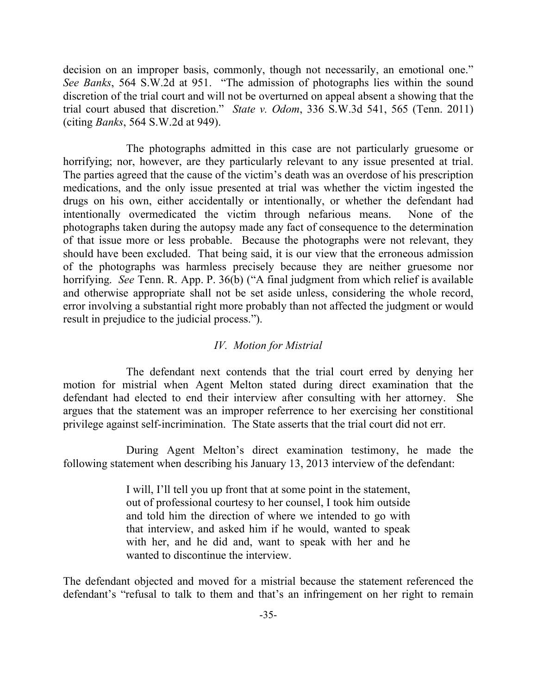decision on an improper basis, commonly, though not necessarily, an emotional one." *See Banks*, 564 S.W.2d at 951. "The admission of photographs lies within the sound discretion of the trial court and will not be overturned on appeal absent a showing that the trial court abused that discretion." *State v. Odom*, 336 S.W.3d 541, 565 (Tenn. 2011) (citing *Banks*, 564 S.W.2d at 949).

The photographs admitted in this case are not particularly gruesome or horrifying; nor, however, are they particularly relevant to any issue presented at trial. The parties agreed that the cause of the victim's death was an overdose of his prescription medications, and the only issue presented at trial was whether the victim ingested the drugs on his own, either accidentally or intentionally, or whether the defendant had intentionally overmedicated the victim through nefarious means. None of the photographs taken during the autopsy made any fact of consequence to the determination of that issue more or less probable. Because the photographs were not relevant, they should have been excluded. That being said, it is our view that the erroneous admission of the photographs was harmless precisely because they are neither gruesome nor horrifying. *See* Tenn. R. App. P. 36(b) ("A final judgment from which relief is available and otherwise appropriate shall not be set aside unless, considering the whole record, error involving a substantial right more probably than not affected the judgment or would result in prejudice to the judicial process.").

### *IV. Motion for Mistrial*

The defendant next contends that the trial court erred by denying her motion for mistrial when Agent Melton stated during direct examination that the defendant had elected to end their interview after consulting with her attorney. She argues that the statement was an improper referrence to her exercising her constitional privilege against self-incrimination. The State asserts that the trial court did not err.

During Agent Melton's direct examination testimony, he made the following statement when describing his January 13, 2013 interview of the defendant:

> I will, I'll tell you up front that at some point in the statement, out of professional courtesy to her counsel, I took him outside and told him the direction of where we intended to go with that interview, and asked him if he would, wanted to speak with her, and he did and, want to speak with her and he wanted to discontinue the interview.

The defendant objected and moved for a mistrial because the statement referenced the defendant's "refusal to talk to them and that's an infringement on her right to remain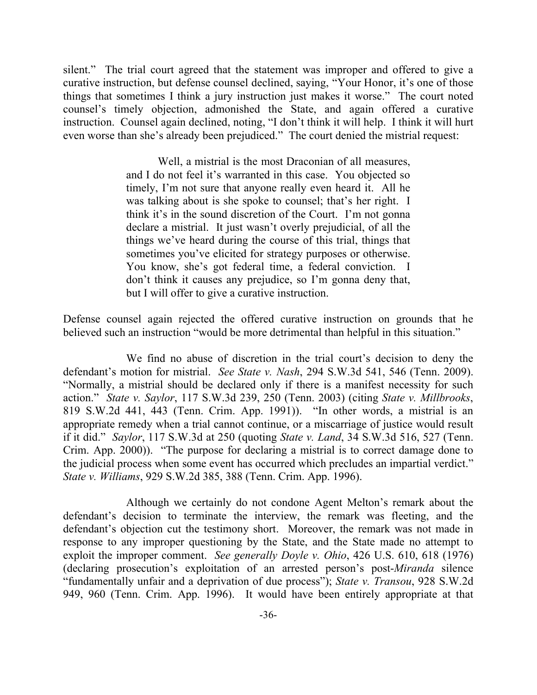silent." The trial court agreed that the statement was improper and offered to give a curative instruction, but defense counsel declined, saying, "Your Honor, it's one of those things that sometimes I think a jury instruction just makes it worse." The court noted counsel's timely objection, admonished the State, and again offered a curative instruction. Counsel again declined, noting, "I don't think it will help. I think it will hurt even worse than she's already been prejudiced." The court denied the mistrial request:

> Well, a mistrial is the most Draconian of all measures, and I do not feel it's warranted in this case. You objected so timely, I'm not sure that anyone really even heard it. All he was talking about is she spoke to counsel; that's her right. I think it's in the sound discretion of the Court. I'm not gonna declare a mistrial. It just wasn't overly prejudicial, of all the things we've heard during the course of this trial, things that sometimes you've elicited for strategy purposes or otherwise. You know, she's got federal time, a federal conviction. I don't think it causes any prejudice, so I'm gonna deny that, but I will offer to give a curative instruction.

Defense counsel again rejected the offered curative instruction on grounds that he believed such an instruction "would be more detrimental than helpful in this situation."

We find no abuse of discretion in the trial court's decision to deny the defendant's motion for mistrial. *See State v. Nash*, 294 S.W.3d 541, 546 (Tenn. 2009). "Normally, a mistrial should be declared only if there is a manifest necessity for such action." *State v. Saylor*, 117 S.W.3d 239, 250 (Tenn. 2003) (citing *State v. Millbrooks*, 819 S.W.2d 441, 443 (Tenn. Crim. App. 1991)). "In other words, a mistrial is an appropriate remedy when a trial cannot continue, or a miscarriage of justice would result if it did." *Saylor*, 117 S.W.3d at 250 (quoting *State v. Land*, 34 S.W.3d 516, 527 (Tenn. Crim. App. 2000)). "The purpose for declaring a mistrial is to correct damage done to the judicial process when some event has occurred which precludes an impartial verdict." *State v. Williams*, 929 S.W.2d 385, 388 (Tenn. Crim. App. 1996).

Although we certainly do not condone Agent Melton's remark about the defendant's decision to terminate the interview, the remark was fleeting, and the defendant's objection cut the testimony short. Moreover, the remark was not made in response to any improper questioning by the State, and the State made no attempt to exploit the improper comment. *See generally Doyle v. Ohio*, 426 U.S. 610, 618 (1976) (declaring prosecution's exploitation of an arrested person's post-*Miranda* silence "fundamentally unfair and a deprivation of due process"); *State v. Transou*, 928 S.W.2d 949, 960 (Tenn. Crim. App. 1996). It would have been entirely appropriate at that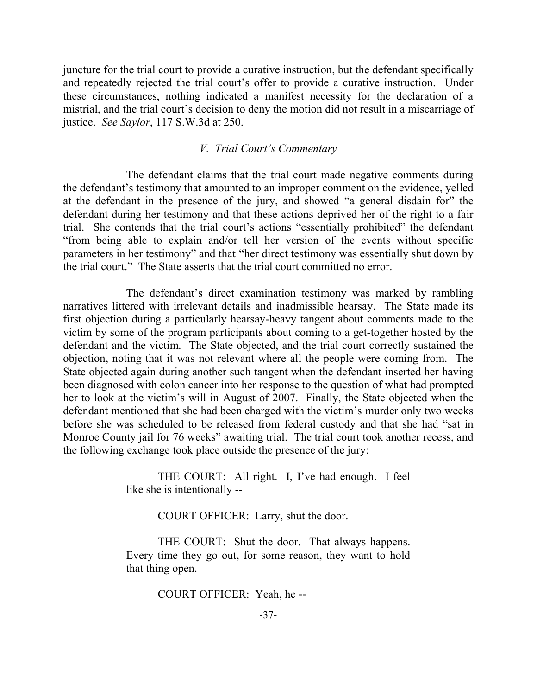juncture for the trial court to provide a curative instruction, but the defendant specifically and repeatedly rejected the trial court's offer to provide a curative instruction. Under these circumstances, nothing indicated a manifest necessity for the declaration of a mistrial, and the trial court's decision to deny the motion did not result in a miscarriage of justice. *See Saylor*, 117 S.W.3d at 250.

## *V. Trial Court's Commentary*

The defendant claims that the trial court made negative comments during the defendant's testimony that amounted to an improper comment on the evidence, yelled at the defendant in the presence of the jury, and showed "a general disdain for" the defendant during her testimony and that these actions deprived her of the right to a fair trial. She contends that the trial court's actions "essentially prohibited" the defendant "from being able to explain and/or tell her version of the events without specific parameters in her testimony" and that "her direct testimony was essentially shut down by the trial court." The State asserts that the trial court committed no error.

The defendant's direct examination testimony was marked by rambling narratives littered with irrelevant details and inadmissible hearsay. The State made its first objection during a particularly hearsay-heavy tangent about comments made to the victim by some of the program participants about coming to a get-together hosted by the defendant and the victim. The State objected, and the trial court correctly sustained the objection, noting that it was not relevant where all the people were coming from. The State objected again during another such tangent when the defendant inserted her having been diagnosed with colon cancer into her response to the question of what had prompted her to look at the victim's will in August of 2007. Finally, the State objected when the defendant mentioned that she had been charged with the victim's murder only two weeks before she was scheduled to be released from federal custody and that she had "sat in Monroe County jail for 76 weeks" awaiting trial. The trial court took another recess, and the following exchange took place outside the presence of the jury:

> THE COURT: All right. I, I've had enough. I feel like she is intentionally --

> > COURT OFFICER: Larry, shut the door.

THE COURT: Shut the door. That always happens. Every time they go out, for some reason, they want to hold that thing open.

COURT OFFICER: Yeah, he --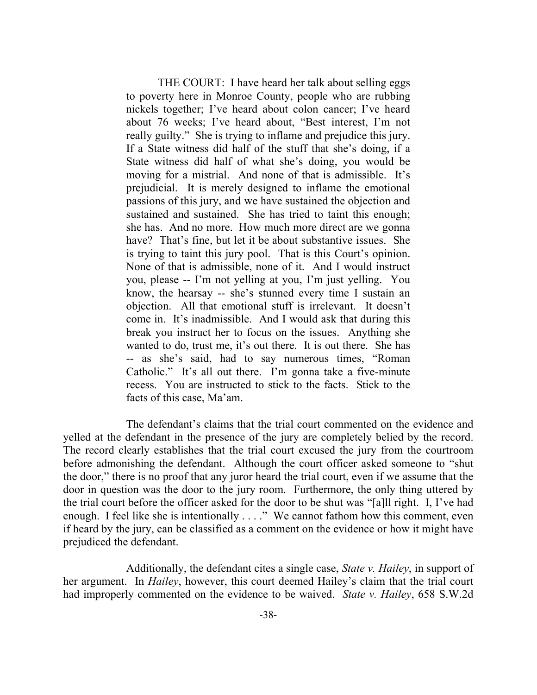THE COURT: I have heard her talk about selling eggs to poverty here in Monroe County, people who are rubbing nickels together; I've heard about colon cancer; I've heard about 76 weeks; I've heard about, "Best interest, I'm not really guilty." She is trying to inflame and prejudice this jury. If a State witness did half of the stuff that she's doing, if a State witness did half of what she's doing, you would be moving for a mistrial. And none of that is admissible. It's prejudicial. It is merely designed to inflame the emotional passions of this jury, and we have sustained the objection and sustained and sustained. She has tried to taint this enough; she has. And no more. How much more direct are we gonna have? That's fine, but let it be about substantive issues. She is trying to taint this jury pool. That is this Court's opinion. None of that is admissible, none of it. And I would instruct you, please -- I'm not yelling at you, I'm just yelling. You know, the hearsay -- she's stunned every time I sustain an objection. All that emotional stuff is irrelevant. It doesn't come in. It's inadmissible. And I would ask that during this break you instruct her to focus on the issues. Anything she wanted to do, trust me, it's out there. It is out there. She has -- as she's said, had to say numerous times, "Roman Catholic." It's all out there. I'm gonna take a five-minute recess. You are instructed to stick to the facts. Stick to the facts of this case, Ma'am.

The defendant's claims that the trial court commented on the evidence and yelled at the defendant in the presence of the jury are completely belied by the record. The record clearly establishes that the trial court excused the jury from the courtroom before admonishing the defendant. Although the court officer asked someone to "shut the door," there is no proof that any juror heard the trial court, even if we assume that the door in question was the door to the jury room. Furthermore, the only thing uttered by the trial court before the officer asked for the door to be shut was "[a]ll right. I, I've had enough. I feel like she is intentionally . . . ." We cannot fathom how this comment, even if heard by the jury, can be classified as a comment on the evidence or how it might have prejudiced the defendant.

Additionally, the defendant cites a single case, *State v. Hailey*, in support of her argument. In *Hailey*, however, this court deemed Hailey's claim that the trial court had improperly commented on the evidence to be waived. *State v. Hailey*, 658 S.W.2d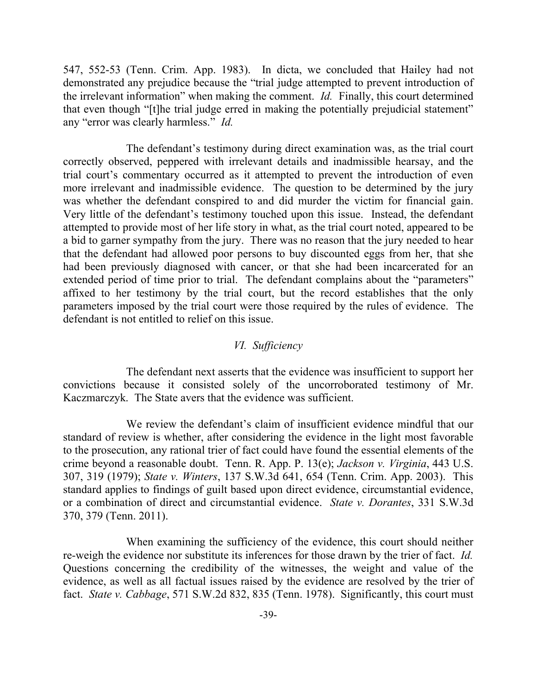547, 552-53 (Tenn. Crim. App. 1983). In dicta, we concluded that Hailey had not demonstrated any prejudice because the "trial judge attempted to prevent introduction of the irrelevant information" when making the comment. *Id.* Finally, this court determined that even though "[t]he trial judge erred in making the potentially prejudicial statement" any "error was clearly harmless." *Id.*

The defendant's testimony during direct examination was, as the trial court correctly observed, peppered with irrelevant details and inadmissible hearsay, and the trial court's commentary occurred as it attempted to prevent the introduction of even more irrelevant and inadmissible evidence. The question to be determined by the jury was whether the defendant conspired to and did murder the victim for financial gain. Very little of the defendant's testimony touched upon this issue. Instead, the defendant attempted to provide most of her life story in what, as the trial court noted, appeared to be a bid to garner sympathy from the jury. There was no reason that the jury needed to hear that the defendant had allowed poor persons to buy discounted eggs from her, that she had been previously diagnosed with cancer, or that she had been incarcerated for an extended period of time prior to trial. The defendant complains about the "parameters" affixed to her testimony by the trial court, but the record establishes that the only parameters imposed by the trial court were those required by the rules of evidence. The defendant is not entitled to relief on this issue.

#### *VI. Sufficiency*

The defendant next asserts that the evidence was insufficient to support her convictions because it consisted solely of the uncorroborated testimony of Mr. Kaczmarczyk. The State avers that the evidence was sufficient.

We review the defendant's claim of insufficient evidence mindful that our standard of review is whether, after considering the evidence in the light most favorable to the prosecution, any rational trier of fact could have found the essential elements of the crime beyond a reasonable doubt. Tenn. R. App. P. 13(e); *Jackson v. Virginia*, 443 U.S. 307, 319 (1979); *State v. Winters*, 137 S.W.3d 641, 654 (Tenn. Crim. App. 2003). This standard applies to findings of guilt based upon direct evidence, circumstantial evidence, or a combination of direct and circumstantial evidence. *State v. Dorantes*, 331 S.W.3d 370, 379 (Tenn. 2011).

When examining the sufficiency of the evidence, this court should neither re-weigh the evidence nor substitute its inferences for those drawn by the trier of fact. *Id.* Questions concerning the credibility of the witnesses, the weight and value of the evidence, as well as all factual issues raised by the evidence are resolved by the trier of fact. *State v. Cabbage*, 571 S.W.2d 832, 835 (Tenn. 1978). Significantly, this court must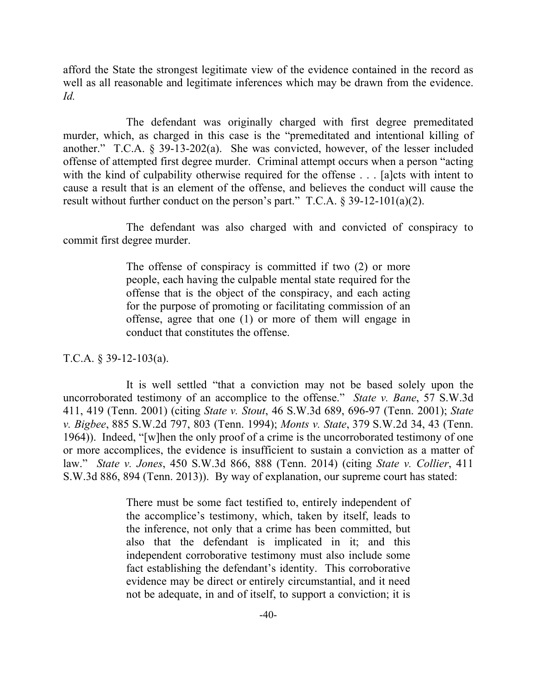afford the State the strongest legitimate view of the evidence contained in the record as well as all reasonable and legitimate inferences which may be drawn from the evidence. *Id.*

The defendant was originally charged with first degree premeditated murder, which, as charged in this case is the "premeditated and intentional killing of another." T.C.A. § 39-13-202(a). She was convicted, however, of the lesser included offense of attempted first degree murder. Criminal attempt occurs when a person "acting with the kind of culpability otherwise required for the offense . . . [a]cts with intent to cause a result that is an element of the offense, and believes the conduct will cause the result without further conduct on the person's part."  $T.C.A. \S 39-12-101(a)(2)$ .

The defendant was also charged with and convicted of conspiracy to commit first degree murder.

> The offense of conspiracy is committed if two (2) or more people, each having the culpable mental state required for the offense that is the object of the conspiracy, and each acting for the purpose of promoting or facilitating commission of an offense, agree that one (1) or more of them will engage in conduct that constitutes the offense.

T.C.A. § 39-12-103(a).

It is well settled "that a conviction may not be based solely upon the uncorroborated testimony of an accomplice to the offense." *State v. Bane*, 57 S.W.3d 411, 419 (Tenn. 2001) (citing *State v. Stout*, 46 S.W.3d 689, 696-97 (Tenn. 2001); *State v. Bigbee*, 885 S.W.2d 797, 803 (Tenn. 1994); *Monts v. State*, 379 S.W.2d 34, 43 (Tenn. 1964)). Indeed, "[w]hen the only proof of a crime is the uncorroborated testimony of one or more accomplices, the evidence is insufficient to sustain a conviction as a matter of law." *State v. Jones*, 450 S.W.3d 866, 888 (Tenn. 2014) (citing *State v. Collier*, 411 S.W.3d 886, 894 (Tenn. 2013)). By way of explanation, our supreme court has stated:

> There must be some fact testified to, entirely independent of the accomplice's testimony, which, taken by itself, leads to the inference, not only that a crime has been committed, but also that the defendant is implicated in it; and this independent corroborative testimony must also include some fact establishing the defendant's identity. This corroborative evidence may be direct or entirely circumstantial, and it need not be adequate, in and of itself, to support a conviction; it is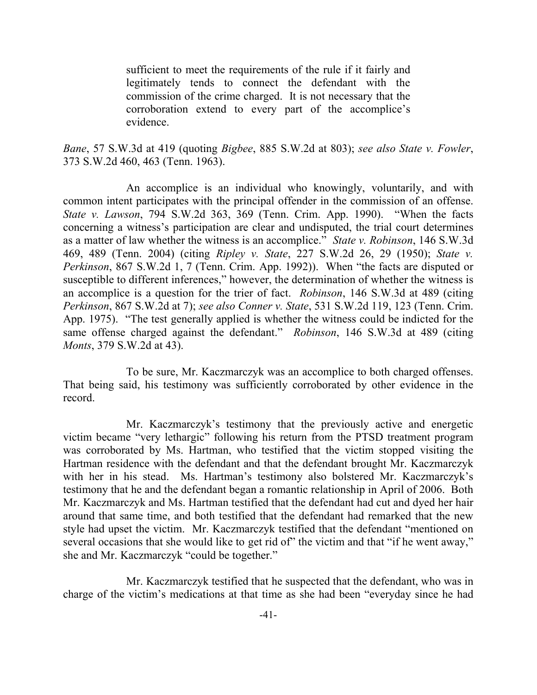sufficient to meet the requirements of the rule if it fairly and legitimately tends to connect the defendant with the commission of the crime charged. It is not necessary that the corroboration extend to every part of the accomplice's evidence.

*Bane*, 57 S.W.3d at 419 (quoting *Bigbee*, 885 S.W.2d at 803); *see also State v. Fowler*, 373 S.W.2d 460, 463 (Tenn. 1963).

An accomplice is an individual who knowingly, voluntarily, and with common intent participates with the principal offender in the commission of an offense. *State v. Lawson*, 794 S.W.2d 363, 369 (Tenn. Crim. App. 1990). "When the facts concerning a witness's participation are clear and undisputed, the trial court determines as a matter of law whether the witness is an accomplice." *State v. Robinson*, 146 S.W.3d 469, 489 (Tenn. 2004) (citing *Ripley v. State*, 227 S.W.2d 26, 29 (1950); *State v. Perkinson*, 867 S.W.2d 1, 7 (Tenn. Crim. App. 1992)). When "the facts are disputed or susceptible to different inferences," however, the determination of whether the witness is an accomplice is a question for the trier of fact. *Robinson*, 146 S.W.3d at 489 (citing *Perkinson*, 867 S.W.2d at 7); *see also Conner v. State*, 531 S.W.2d 119, 123 (Tenn. Crim. App. 1975). "The test generally applied is whether the witness could be indicted for the same offense charged against the defendant." *Robinson*, 146 S.W.3d at 489 (citing *Monts*, 379 S.W.2d at 43).

To be sure, Mr. Kaczmarczyk was an accomplice to both charged offenses. That being said, his testimony was sufficiently corroborated by other evidence in the record.

Mr. Kaczmarczyk's testimony that the previously active and energetic victim became "very lethargic" following his return from the PTSD treatment program was corroborated by Ms. Hartman, who testified that the victim stopped visiting the Hartman residence with the defendant and that the defendant brought Mr. Kaczmarczyk with her in his stead. Ms. Hartman's testimony also bolstered Mr. Kaczmarczyk's testimony that he and the defendant began a romantic relationship in April of 2006. Both Mr. Kaczmarczyk and Ms. Hartman testified that the defendant had cut and dyed her hair around that same time, and both testified that the defendant had remarked that the new style had upset the victim. Mr. Kaczmarczyk testified that the defendant "mentioned on several occasions that she would like to get rid of" the victim and that "if he went away," she and Mr. Kaczmarczyk "could be together."

Mr. Kaczmarczyk testified that he suspected that the defendant, who was in charge of the victim's medications at that time as she had been "everyday since he had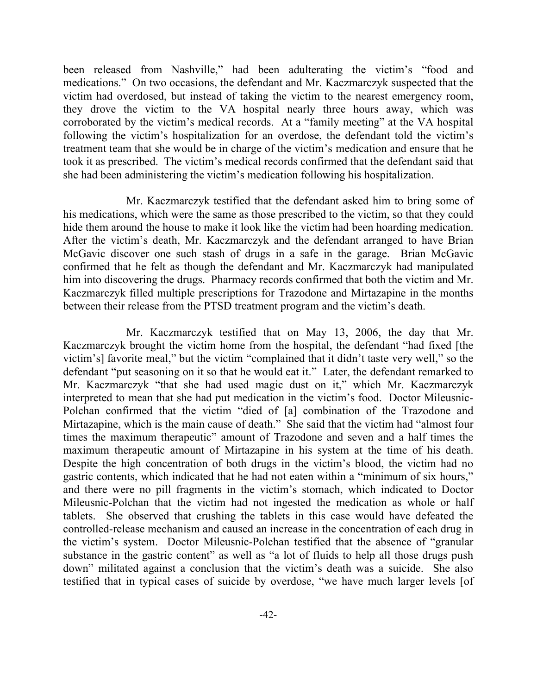been released from Nashville," had been adulterating the victim's "food and medications." On two occasions, the defendant and Mr. Kaczmarczyk suspected that the victim had overdosed, but instead of taking the victim to the nearest emergency room, they drove the victim to the VA hospital nearly three hours away, which was corroborated by the victim's medical records. At a "family meeting" at the VA hospital following the victim's hospitalization for an overdose, the defendant told the victim's treatment team that she would be in charge of the victim's medication and ensure that he took it as prescribed. The victim's medical records confirmed that the defendant said that she had been administering the victim's medication following his hospitalization.

Mr. Kaczmarczyk testified that the defendant asked him to bring some of his medications, which were the same as those prescribed to the victim, so that they could hide them around the house to make it look like the victim had been hoarding medication. After the victim's death, Mr. Kaczmarczyk and the defendant arranged to have Brian McGavic discover one such stash of drugs in a safe in the garage. Brian McGavic confirmed that he felt as though the defendant and Mr. Kaczmarczyk had manipulated him into discovering the drugs. Pharmacy records confirmed that both the victim and Mr. Kaczmarczyk filled multiple prescriptions for Trazodone and Mirtazapine in the months between their release from the PTSD treatment program and the victim's death.

Mr. Kaczmarczyk testified that on May 13, 2006, the day that Mr. Kaczmarczyk brought the victim home from the hospital, the defendant "had fixed [the victim's] favorite meal," but the victim "complained that it didn't taste very well," so the defendant "put seasoning on it so that he would eat it." Later, the defendant remarked to Mr. Kaczmarczyk "that she had used magic dust on it," which Mr. Kaczmarczyk interpreted to mean that she had put medication in the victim's food. Doctor Mileusnic-Polchan confirmed that the victim "died of [a] combination of the Trazodone and Mirtazapine, which is the main cause of death." She said that the victim had "almost four times the maximum therapeutic" amount of Trazodone and seven and a half times the maximum therapeutic amount of Mirtazapine in his system at the time of his death. Despite the high concentration of both drugs in the victim's blood, the victim had no gastric contents, which indicated that he had not eaten within a "minimum of six hours," and there were no pill fragments in the victim's stomach, which indicated to Doctor Mileusnic-Polchan that the victim had not ingested the medication as whole or half tablets. She observed that crushing the tablets in this case would have defeated the controlled-release mechanism and caused an increase in the concentration of each drug in the victim's system. Doctor Mileusnic-Polchan testified that the absence of "granular substance in the gastric content" as well as "a lot of fluids to help all those drugs push down" militated against a conclusion that the victim's death was a suicide. She also testified that in typical cases of suicide by overdose, "we have much larger levels [of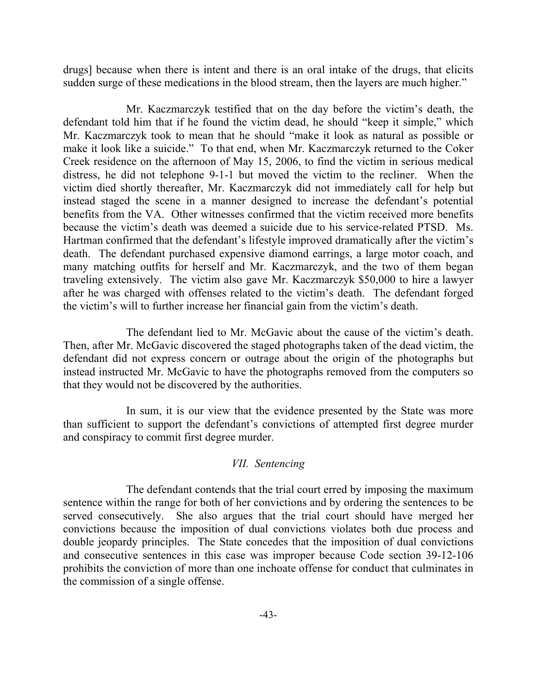drugs] because when there is intent and there is an oral intake of the drugs, that elicits sudden surge of these medications in the blood stream, then the layers are much higher."

Mr. Kaczmarczyk testified that on the day before the victim's death, the defendant told him that if he found the victim dead, he should "keep it simple," which Mr. Kaczmarczyk took to mean that he should "make it look as natural as possible or make it look like a suicide." To that end, when Mr. Kaczmarczyk returned to the Coker Creek residence on the afternoon of May 15, 2006, to find the victim in serious medical distress, he did not telephone 9-1-1 but moved the victim to the recliner. When the victim died shortly thereafter, Mr. Kaczmarczyk did not immediately call for help but instead staged the scene in a manner designed to increase the defendant's potential benefits from the VA. Other witnesses confirmed that the victim received more benefits because the victim's death was deemed a suicide due to his service-related PTSD. Ms. Hartman confirmed that the defendant's lifestyle improved dramatically after the victim's death. The defendant purchased expensive diamond earrings, a large motor coach, and many matching outfits for herself and Mr. Kaczmarczyk, and the two of them began traveling extensively. The victim also gave Mr. Kaczmarczyk \$50,000 to hire a lawyer after he was charged with offenses related to the victim's death. The defendant forged the victim's will to further increase her financial gain from the victim's death.

The defendant lied to Mr. McGavic about the cause of the victim's death. Then, after Mr. McGavic discovered the staged photographs taken of the dead victim, the defendant did not express concern or outrage about the origin of the photographs but instead instructed Mr. McGavic to have the photographs removed from the computers so that they would not be discovered by the authorities.

In sum, it is our view that the evidence presented by the State was more than sufficient to support the defendant's convictions of attempted first degree murder and conspiracy to commit first degree murder.

### *VII. Sentencing*

The defendant contends that the trial court erred by imposing the maximum sentence within the range for both of her convictions and by ordering the sentences to be served consecutively. She also argues that the trial court should have merged her convictions because the imposition of dual convictions violates both due process and double jeopardy principles. The State concedes that the imposition of dual convictions and consecutive sentences in this case was improper because Code section 39-12-106 prohibits the conviction of more than one inchoate offense for conduct that culminates in the commission of a single offense.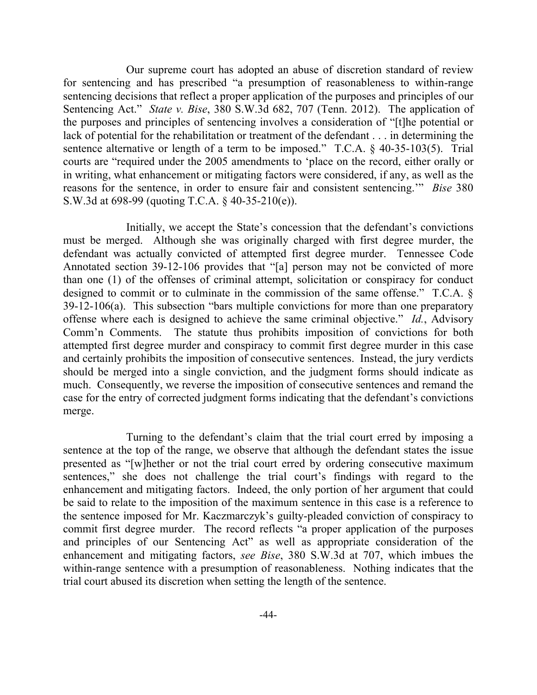Our supreme court has adopted an abuse of discretion standard of review for sentencing and has prescribed "a presumption of reasonableness to within-range sentencing decisions that reflect a proper application of the purposes and principles of our Sentencing Act." *State v. Bise*, 380 S.W.3d 682, 707 (Tenn. 2012). The application of the purposes and principles of sentencing involves a consideration of "[t]he potential or lack of potential for the rehabilitation or treatment of the defendant . . . in determining the sentence alternative or length of a term to be imposed." T.C.A. § 40-35-103(5). Trial courts are "required under the 2005 amendments to 'place on the record, either orally or in writing, what enhancement or mitigating factors were considered, if any, as well as the reasons for the sentence, in order to ensure fair and consistent sentencing.'" *Bise* 380 S.W.3d at 698-99 (quoting T.C.A. § 40-35-210(e)).

Initially, we accept the State's concession that the defendant's convictions must be merged. Although she was originally charged with first degree murder, the defendant was actually convicted of attempted first degree murder. Tennessee Code Annotated section 39-12-106 provides that "[a] person may not be convicted of more than one (1) of the offenses of criminal attempt, solicitation or conspiracy for conduct designed to commit or to culminate in the commission of the same offense." T.C.A. § 39-12-106(a). This subsection "bars multiple convictions for more than one preparatory offense where each is designed to achieve the same criminal objective." *Id.*, Advisory Comm'n Comments. The statute thus prohibits imposition of convictions for both attempted first degree murder and conspiracy to commit first degree murder in this case and certainly prohibits the imposition of consecutive sentences. Instead, the jury verdicts should be merged into a single conviction, and the judgment forms should indicate as much. Consequently, we reverse the imposition of consecutive sentences and remand the case for the entry of corrected judgment forms indicating that the defendant's convictions merge.

Turning to the defendant's claim that the trial court erred by imposing a sentence at the top of the range, we observe that although the defendant states the issue presented as "[w]hether or not the trial court erred by ordering consecutive maximum sentences," she does not challenge the trial court's findings with regard to the enhancement and mitigating factors. Indeed, the only portion of her argument that could be said to relate to the imposition of the maximum sentence in this case is a reference to the sentence imposed for Mr. Kaczmarczyk's guilty-pleaded conviction of conspiracy to commit first degree murder. The record reflects "a proper application of the purposes and principles of our Sentencing Act" as well as appropriate consideration of the enhancement and mitigating factors, *see Bise*, 380 S.W.3d at 707, which imbues the within-range sentence with a presumption of reasonableness. Nothing indicates that the trial court abused its discretion when setting the length of the sentence.